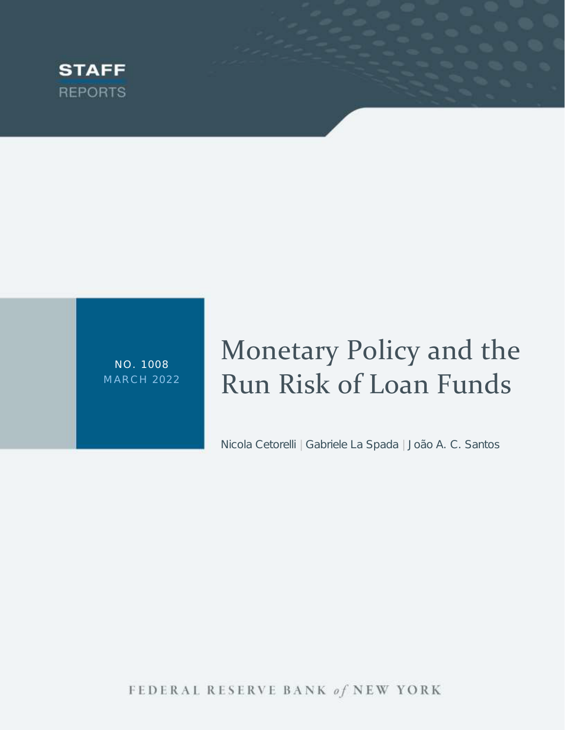

NO. 1008 M ARCH 2022

# Monetary Policy and the Run Risk of Loan Funds

Nicola Cetorelli | Gabriele La Spada | João A. C. Santos

FEDERAL RESERVE BANK of NEW YORK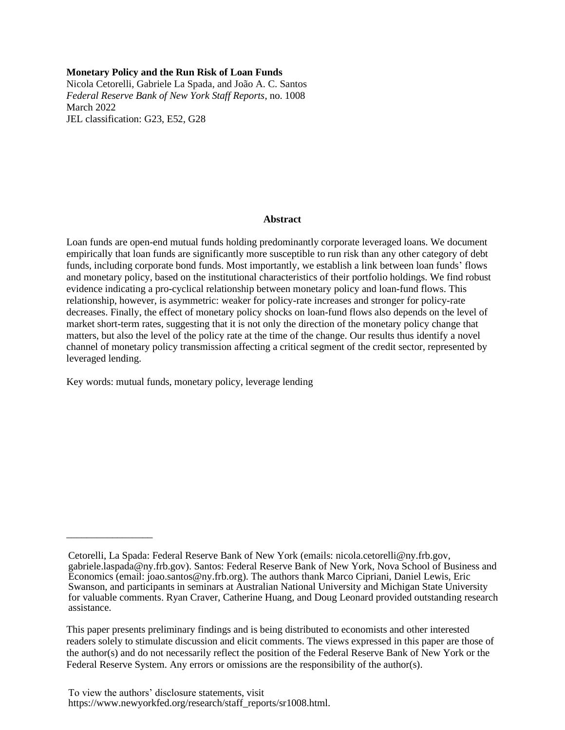## **Monetary Policy and the Run Risk of Loan Funds**

Nicola Cetorelli, Gabriele La Spada, and João A. C. Santos *Federal Reserve Bank of New York Staff Reports*, no. 1008 March 2022 JEL classification: G23, E52, G28

#### **Abstract**

Loan funds are open-end mutual funds holding predominantly corporate leveraged loans. We document empirically that loan funds are significantly more susceptible to run risk than any other category of debt funds, including corporate bond funds. Most importantly, we establish a link between loan funds' flows and monetary policy, based on the institutional characteristics of their portfolio holdings. We find robust evidence indicating a pro-cyclical relationship between monetary policy and loan-fund flows. This relationship, however, is asymmetric: weaker for policy-rate increases and stronger for policy-rate decreases. Finally, the effect of monetary policy shocks on loan-fund flows also depends on the level of market short-term rates, suggesting that it is not only the direction of the monetary policy change that matters, but also the level of the policy rate at the time of the change. Our results thus identify a novel channel of monetary policy transmission affecting a critical segment of the credit sector, represented by leveraged lending.

Key words: mutual funds, monetary policy, leverage lending

\_\_\_\_\_\_\_\_\_\_\_\_\_\_\_\_\_

Cetorelli, La Spada: Federal Reserve Bank of New York (emails: nicola.cetorelli@ny.frb.gov, gabriele.laspada@ny.frb.gov). Santos: Federal Reserve Bank of New York, Nova School of Business and Economics (email: joao.santos@ny.frb.org). The authors thank Marco Cipriani, Daniel Lewis, Eric Swanson, and participants in seminars at Australian National University and Michigan State University for valuable comments. Ryan Craver, Catherine Huang, and Doug Leonard provided outstanding research assistance.

This paper presents preliminary findings and is being distributed to economists and other interested readers solely to stimulate discussion and elicit comments. The views expressed in this paper are those of the author(s) and do not necessarily reflect the position of the Federal Reserve Bank of New York or the Federal Reserve System. Any errors or omissions are the responsibility of the author(s).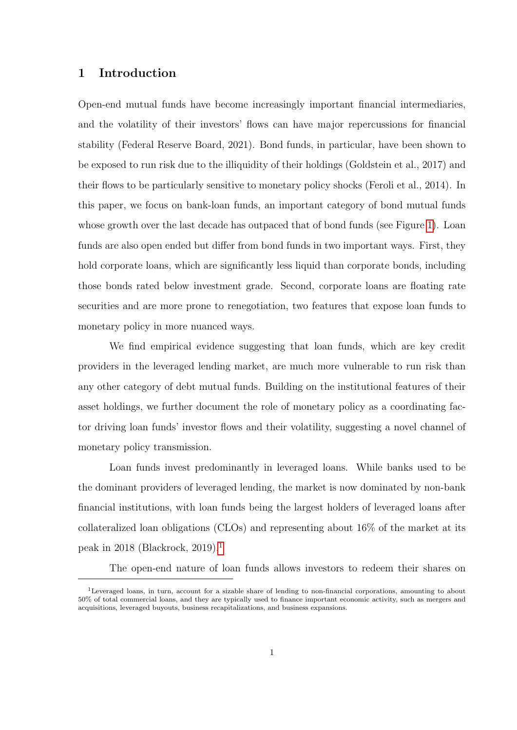## 1 Introduction

Open-end mutual funds have become increasingly important financial intermediaries, and the volatility of their investors' flows can have major repercussions for financial stability (Federal Reserve Board, 2021). Bond funds, in particular, have been shown to be exposed to run risk due to the illiquidity of their holdings (Goldstein et al., 2017) and their flows to be particularly sensitive to monetary policy shocks (Feroli et al., 2014). In this paper, we focus on bank-loan funds, an important category of bond mutual funds whose growth over the last decade has outpaced that of bond funds (see Figure 1). Loan funds are also open ended but differ from bond funds in two important ways. First, they hold corporate loans, which are significantly less liquid than corporate bonds, including those bonds rated below investment grade. Second, corporate loans are floating rate securities and are more prone to renegotiation, two features that expose loan funds to monetary policy in more nuanced ways.

We find empirical evidence suggesting that loan funds, which are key credit providers in the leveraged lending market, are much more vulnerable to run risk than any other category of debt mutual funds. Building on the institutional features of their asset holdings, we further document the role of monetary policy as a coordinating factor driving loan funds' investor flows and their volatility, suggesting a novel channel of monetary policy transmission.

Loan funds invest predominantly in leveraged loans. While banks used to be the dominant providers of leveraged lending, the market is now dominated by non-bank financial institutions, with loan funds being the largest holders of leveraged loans after collateralized loan obligations (CLOs) and representing about 16% of the market at its peak in 2018 (Blackrock, 2019).<sup>1</sup>

The open-end nature of loan funds allows investors to redeem their shares on

<sup>1</sup>Leveraged loans, in turn, account for a sizable share of lending to non-financial corporations, amounting to about 50% of total commercial loans, and they are typically used to finance important economic activity, such as mergers and acquisitions, leveraged buyouts, business recapitalizations, and business expansions.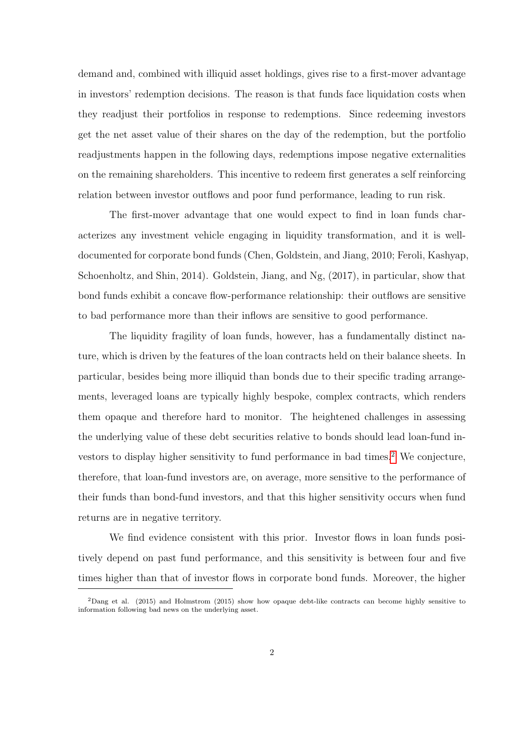demand and, combined with illiquid asset holdings, gives rise to a first-mover advantage in investors' redemption decisions. The reason is that funds face liquidation costs when they readjust their portfolios in response to redemptions. Since redeeming investors get the net asset value of their shares on the day of the redemption, but the portfolio readjustments happen in the following days, redemptions impose negative externalities on the remaining shareholders. This incentive to redeem first generates a self reinforcing relation between investor outflows and poor fund performance, leading to run risk.

The first-mover advantage that one would expect to find in loan funds characterizes any investment vehicle engaging in liquidity transformation, and it is welldocumented for corporate bond funds (Chen, Goldstein, and Jiang, 2010; Feroli, Kashyap, Schoenholtz, and Shin, 2014). Goldstein, Jiang, and Ng, (2017), in particular, show that bond funds exhibit a concave flow-performance relationship: their outflows are sensitive to bad performance more than their inflows are sensitive to good performance.

The liquidity fragility of loan funds, however, has a fundamentally distinct nature, which is driven by the features of the loan contracts held on their balance sheets. In particular, besides being more illiquid than bonds due to their specific trading arrangements, leveraged loans are typically highly bespoke, complex contracts, which renders them opaque and therefore hard to monitor. The heightened challenges in assessing the underlying value of these debt securities relative to bonds should lead loan-fund investors to display higher sensitivity to fund performance in bad times.<sup>2</sup> We conjecture, therefore, that loan-fund investors are, on average, more sensitive to the performance of their funds than bond-fund investors, and that this higher sensitivity occurs when fund returns are in negative territory.

We find evidence consistent with this prior. Investor flows in loan funds positively depend on past fund performance, and this sensitivity is between four and five times higher than that of investor flows in corporate bond funds. Moreover, the higher

<sup>2</sup>Dang et al. (2015) and Holmstrom (2015) show how opaque debt-like contracts can become highly sensitive to information following bad news on the underlying asset.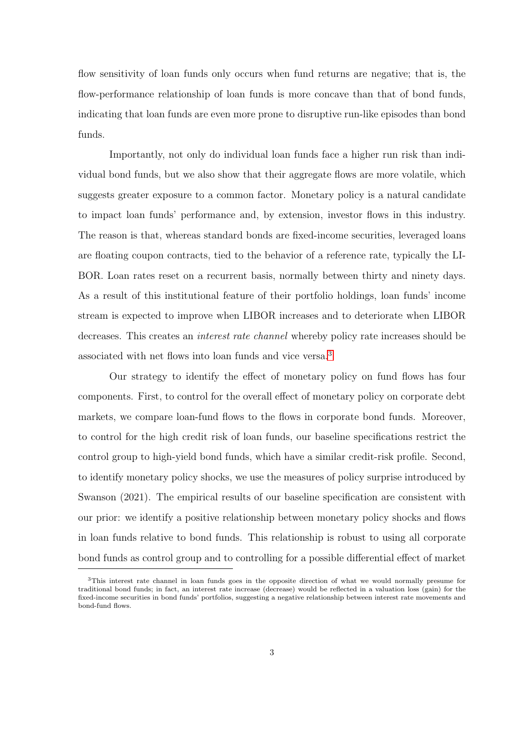flow sensitivity of loan funds only occurs when fund returns are negative; that is, the flow-performance relationship of loan funds is more concave than that of bond funds, indicating that loan funds are even more prone to disruptive run-like episodes than bond funds.

Importantly, not only do individual loan funds face a higher run risk than individual bond funds, but we also show that their aggregate flows are more volatile, which suggests greater exposure to a common factor. Monetary policy is a natural candidate to impact loan funds' performance and, by extension, investor flows in this industry. The reason is that, whereas standard bonds are fixed-income securities, leveraged loans are floating coupon contracts, tied to the behavior of a reference rate, typically the LI-BOR. Loan rates reset on a recurrent basis, normally between thirty and ninety days. As a result of this institutional feature of their portfolio holdings, loan funds' income stream is expected to improve when LIBOR increases and to deteriorate when LIBOR decreases. This creates an *interest rate channel* whereby policy rate increases should be associated with net flows into loan funds and vice versa.<sup>3</sup>

Our strategy to identify the effect of monetary policy on fund flows has four components. First, to control for the overall effect of monetary policy on corporate debt markets, we compare loan-fund flows to the flows in corporate bond funds. Moreover, to control for the high credit risk of loan funds, our baseline specifications restrict the control group to high-yield bond funds, which have a similar credit-risk profile. Second, to identify monetary policy shocks, we use the measures of policy surprise introduced by Swanson (2021). The empirical results of our baseline specification are consistent with our prior: we identify a positive relationship between monetary policy shocks and flows in loan funds relative to bond funds. This relationship is robust to using all corporate bond funds as control group and to controlling for a possible differential effect of market

<sup>3</sup>This interest rate channel in loan funds goes in the opposite direction of what we would normally presume for traditional bond funds; in fact, an interest rate increase (decrease) would be reflected in a valuation loss (gain) for the fixed-income securities in bond funds' portfolios, suggesting a negative relationship between interest rate movements and bond-fund flows.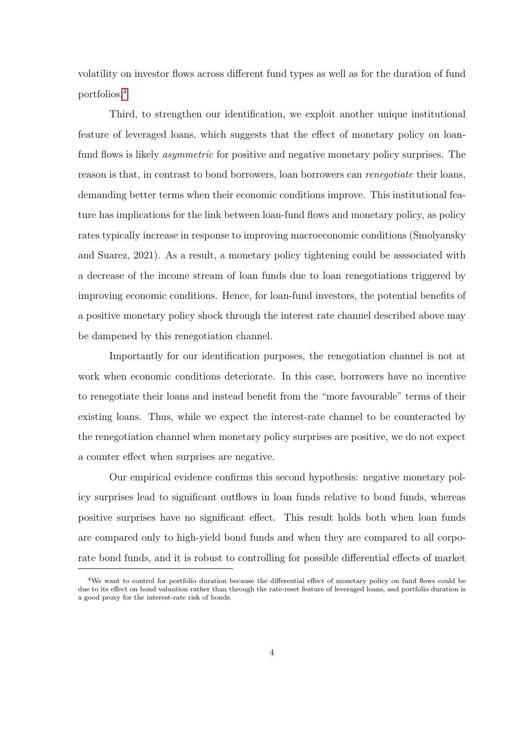volatility on investor flows across different fund types as well as for the duration of fund portfolios.<sup>4</sup>

Third, to strengthen our identification, we exploit another unique institutional feature of leveraged loans, which suggests that the effect of monetary policy on loanfund flows is likely *asymmetric* for positive and negative monetary policy surprises. The reason is that, in contrast to bond borrowers, loan borrowers can renegotiate their loans, demanding better terms when their economic conditions improve. This institutional feature has implications for the link between loan-fund flows and monetary policy, as policy rates typically increase in response to improving macroeconomic conditions (Smolyansky and Suarez, 2021). As a result, a monetary policy tightening could be asssociated with a decrease of the income stream of loan funds due to loan renegotiations triggered by improving economic conditions. Hence, for loan-fund investors, the potential benefits of a positive monetary policy shock through the interest rate channel described above may be dampened by this renegotiation channel.

Importantly for our identification purposes, the renegotiation channel is not at work when economic conditions deteriorate. In this case, borrowers have no incentive to renegotiate their loans and instead benefit from the "more favourable" terms of their existing loans. Thus, while we expect the interest-rate channel to be counteracted by the renegotiation channel when monetary policy surprises are positive, we do not expect a counter effect when surprises are negative.

Our empirical evidence confirms this second hypothesis: negative monetary policy surprises lead to significant outflows in loan funds relative to bond funds, whereas positive surprises have no significant effect. This result holds both when loan funds are compared only to high-yield bond funds and when they are compared to all corporate bond funds, and it is robust to controlling for possible differential effects of market

<sup>4</sup>We want to control for portfolio duration because the differential effect of monetary policy on fund flows could be due to its effect on bond valuation rather than through the rate-reset feature of leveraged loans, and portfolio duration is a good proxy for the interest-rate risk of bonds.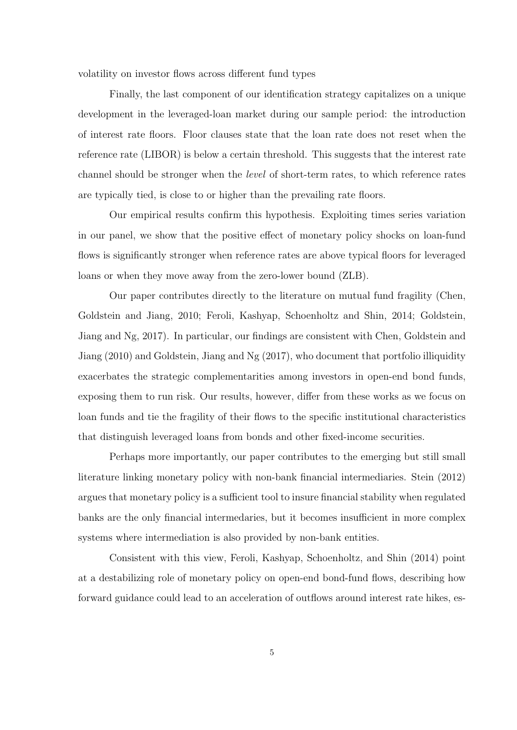volatility on investor flows across different fund types

Finally, the last component of our identification strategy capitalizes on a unique development in the leveraged-loan market during our sample period: the introduction of interest rate floors. Floor clauses state that the loan rate does not reset when the reference rate (LIBOR) is below a certain threshold. This suggests that the interest rate channel should be stronger when the level of short-term rates, to which reference rates are typically tied, is close to or higher than the prevailing rate floors.

Our empirical results confirm this hypothesis. Exploiting times series variation in our panel, we show that the positive effect of monetary policy shocks on loan-fund flows is significantly stronger when reference rates are above typical floors for leveraged loans or when they move away from the zero-lower bound (ZLB).

Our paper contributes directly to the literature on mutual fund fragility (Chen, Goldstein and Jiang, 2010; Feroli, Kashyap, Schoenholtz and Shin, 2014; Goldstein, Jiang and Ng, 2017). In particular, our findings are consistent with Chen, Goldstein and Jiang (2010) and Goldstein, Jiang and Ng (2017), who document that portfolio illiquidity exacerbates the strategic complementarities among investors in open-end bond funds, exposing them to run risk. Our results, however, differ from these works as we focus on loan funds and tie the fragility of their flows to the specific institutional characteristics that distinguish leveraged loans from bonds and other fixed-income securities.

Perhaps more importantly, our paper contributes to the emerging but still small literature linking monetary policy with non-bank financial intermediaries. Stein (2012) argues that monetary policy is a sufficient tool to insure financial stability when regulated banks are the only financial intermedaries, but it becomes insufficient in more complex systems where intermediation is also provided by non-bank entities.

Consistent with this view, Feroli, Kashyap, Schoenholtz, and Shin (2014) point at a destabilizing role of monetary policy on open-end bond-fund flows, describing how forward guidance could lead to an acceleration of outflows around interest rate hikes, es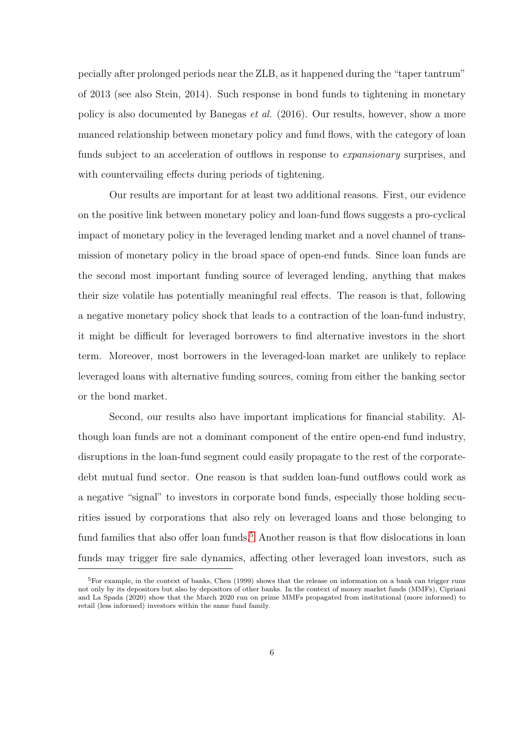pecially after prolonged periods near the ZLB, as it happened during the "taper tantrum" of 2013 (see also Stein, 2014). Such response in bond funds to tightening in monetary policy is also documented by Banegas et al. (2016). Our results, however, show a more nuanced relationship between monetary policy and fund flows, with the category of loan funds subject to an acceleration of outflows in response to *expansionary* surprises, and with countervailing effects during periods of tightening.

Our results are important for at least two additional reasons. First, our evidence on the positive link between monetary policy and loan-fund flows suggests a pro-cyclical impact of monetary policy in the leveraged lending market and a novel channel of transmission of monetary policy in the broad space of open-end funds. Since loan funds are the second most important funding source of leveraged lending, anything that makes their size volatile has potentially meaningful real effects. The reason is that, following a negative monetary policy shock that leads to a contraction of the loan-fund industry, it might be difficult for leveraged borrowers to find alternative investors in the short term. Moreover, most borrowers in the leveraged-loan market are unlikely to replace leveraged loans with alternative funding sources, coming from either the banking sector or the bond market.

Second, our results also have important implications for financial stability. Although loan funds are not a dominant component of the entire open-end fund industry, disruptions in the loan-fund segment could easily propagate to the rest of the corporatedebt mutual fund sector. One reason is that sudden loan-fund outflows could work as a negative "signal" to investors in corporate bond funds, especially those holding securities issued by corporations that also rely on leveraged loans and those belonging to fund families that also offer loan funds.<sup>5</sup> Another reason is that flow dislocations in loan funds may trigger fire sale dynamics, affecting other leveraged loan investors, such as

 $5F$ or example, in the context of banks, Chen (1999) shows that the release on information on a bank can trigger runs not only by its depositors but also by depositors of other banks. In the context of money market funds (MMFs), Cipriani and La Spada (2020) show that the March 2020 run on prime MMFs propagated from institutional (more informed) to retail (less informed) investors within the same fund family.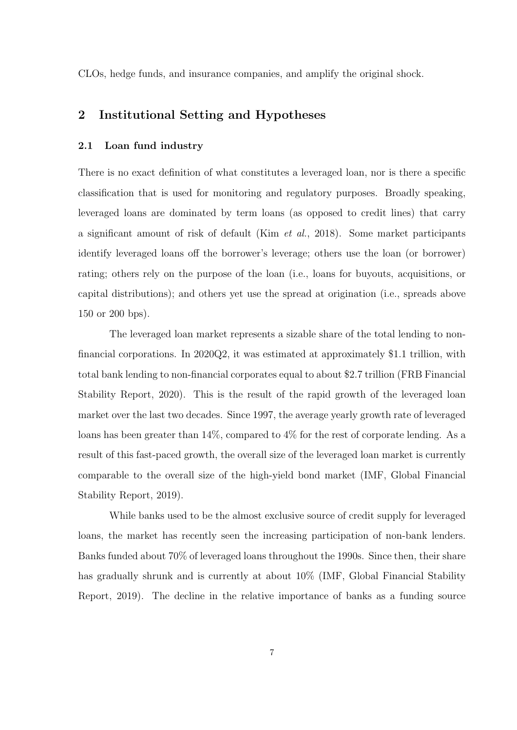CLOs, hedge funds, and insurance companies, and amplify the original shock.

## 2 Institutional Setting and Hypotheses

## 2.1 Loan fund industry

There is no exact definition of what constitutes a leveraged loan, nor is there a specific classification that is used for monitoring and regulatory purposes. Broadly speaking, leveraged loans are dominated by term loans (as opposed to credit lines) that carry a significant amount of risk of default (Kim et al., 2018). Some market participants identify leveraged loans off the borrower's leverage; others use the loan (or borrower) rating; others rely on the purpose of the loan (i.e., loans for buyouts, acquisitions, or capital distributions); and others yet use the spread at origination (i.e., spreads above 150 or 200 bps).

The leveraged loan market represents a sizable share of the total lending to nonfinancial corporations. In 2020Q2, it was estimated at approximately \$1.1 trillion, with total bank lending to non-financial corporates equal to about \$2.7 trillion (FRB Financial Stability Report, 2020). This is the result of the rapid growth of the leveraged loan market over the last two decades. Since 1997, the average yearly growth rate of leveraged loans has been greater than 14%, compared to 4% for the rest of corporate lending. As a result of this fast-paced growth, the overall size of the leveraged loan market is currently comparable to the overall size of the high-yield bond market (IMF, Global Financial Stability Report, 2019).

While banks used to be the almost exclusive source of credit supply for leveraged loans, the market has recently seen the increasing participation of non-bank lenders. Banks funded about 70% of leveraged loans throughout the 1990s. Since then, their share has gradually shrunk and is currently at about 10% (IMF, Global Financial Stability Report, 2019). The decline in the relative importance of banks as a funding source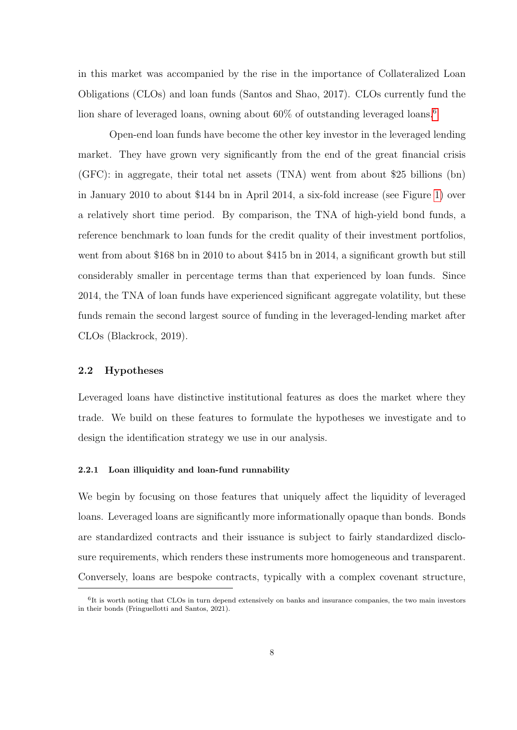in this market was accompanied by the rise in the importance of Collateralized Loan Obligations (CLOs) and loan funds (Santos and Shao, 2017). CLOs currently fund the lion share of leveraged loans, owning about  $60\%$  of outstanding leveraged loans.<sup>6</sup>

Open-end loan funds have become the other key investor in the leveraged lending market. They have grown very significantly from the end of the great financial crisis (GFC): in aggregate, their total net assets (TNA) went from about \$25 billions (bn) in January 2010 to about \$144 bn in April 2014, a six-fold increase (see Figure 1) over a relatively short time period. By comparison, the TNA of high-yield bond funds, a reference benchmark to loan funds for the credit quality of their investment portfolios, went from about \$168 bn in 2010 to about \$415 bn in 2014, a significant growth but still considerably smaller in percentage terms than that experienced by loan funds. Since 2014, the TNA of loan funds have experienced significant aggregate volatility, but these funds remain the second largest source of funding in the leveraged-lending market after CLOs (Blackrock, 2019).

## 2.2 Hypotheses

Leveraged loans have distinctive institutional features as does the market where they trade. We build on these features to formulate the hypotheses we investigate and to design the identification strategy we use in our analysis.

## 2.2.1 Loan illiquidity and loan-fund runnability

We begin by focusing on those features that uniquely affect the liquidity of leveraged loans. Leveraged loans are significantly more informationally opaque than bonds. Bonds are standardized contracts and their issuance is subject to fairly standardized disclosure requirements, which renders these instruments more homogeneous and transparent. Conversely, loans are bespoke contracts, typically with a complex covenant structure,

<sup>6</sup> It is worth noting that CLOs in turn depend extensively on banks and insurance companies, the two main investors in their bonds (Fringuellotti and Santos, 2021).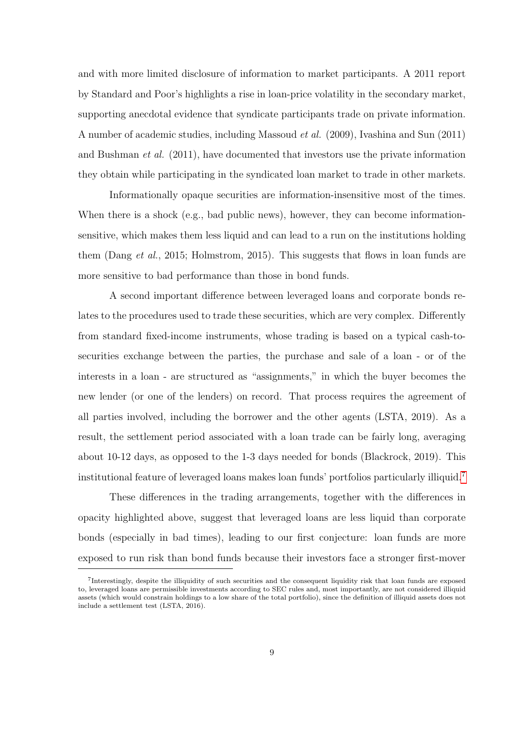and with more limited disclosure of information to market participants. A 2011 report by Standard and Poor's highlights a rise in loan-price volatility in the secondary market, supporting anecdotal evidence that syndicate participants trade on private information. A number of academic studies, including Massoud et al. (2009), Ivashina and Sun (2011) and Bushman et al. (2011), have documented that investors use the private information they obtain while participating in the syndicated loan market to trade in other markets.

Informationally opaque securities are information-insensitive most of the times. When there is a shock (e.g., bad public news), however, they can become informationsensitive, which makes them less liquid and can lead to a run on the institutions holding them (Dang et al., 2015; Holmstrom, 2015). This suggests that flows in loan funds are more sensitive to bad performance than those in bond funds.

A second important difference between leveraged loans and corporate bonds relates to the procedures used to trade these securities, which are very complex. Differently from standard fixed-income instruments, whose trading is based on a typical cash-tosecurities exchange between the parties, the purchase and sale of a loan - or of the interests in a loan - are structured as "assignments," in which the buyer becomes the new lender (or one of the lenders) on record. That process requires the agreement of all parties involved, including the borrower and the other agents (LSTA, 2019). As a result, the settlement period associated with a loan trade can be fairly long, averaging about 10-12 days, as opposed to the 1-3 days needed for bonds (Blackrock, 2019). This institutional feature of leveraged loans makes loan funds' portfolios particularly illiquid.<sup>7</sup>

These differences in the trading arrangements, together with the differences in opacity highlighted above, suggest that leveraged loans are less liquid than corporate bonds (especially in bad times), leading to our first conjecture: loan funds are more exposed to run risk than bond funds because their investors face a stronger first-mover

<sup>7</sup> Interestingly, despite the illiquidity of such securities and the consequent liquidity risk that loan funds are exposed to, leveraged loans are permissible investments according to SEC rules and, most importantly, are not considered illiquid assets (which would constrain holdings to a low share of the total portfolio), since the definition of illiquid assets does not include a settlement test (LSTA, 2016).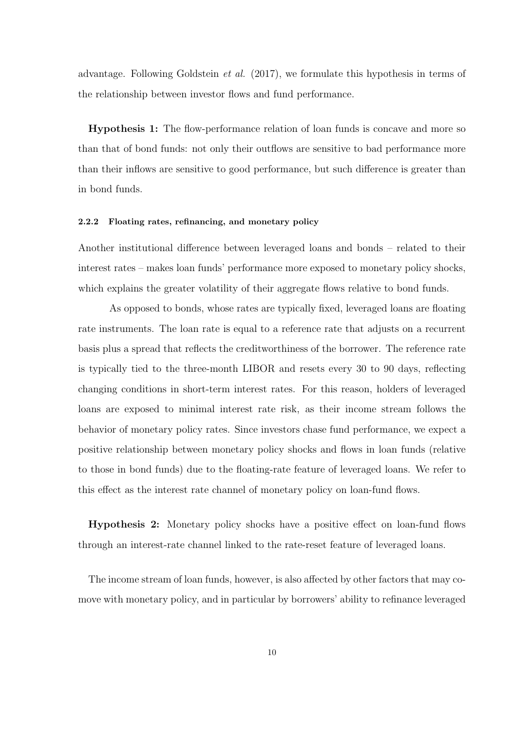advantage. Following Goldstein et al. (2017), we formulate this hypothesis in terms of the relationship between investor flows and fund performance.

Hypothesis 1: The flow-performance relation of loan funds is concave and more so than that of bond funds: not only their outflows are sensitive to bad performance more than their inflows are sensitive to good performance, but such difference is greater than in bond funds.

#### 2.2.2 Floating rates, refinancing, and monetary policy

Another institutional difference between leveraged loans and bonds – related to their interest rates – makes loan funds' performance more exposed to monetary policy shocks, which explains the greater volatility of their aggregate flows relative to bond funds.

As opposed to bonds, whose rates are typically fixed, leveraged loans are floating rate instruments. The loan rate is equal to a reference rate that adjusts on a recurrent basis plus a spread that reflects the creditworthiness of the borrower. The reference rate is typically tied to the three-month LIBOR and resets every 30 to 90 days, reflecting changing conditions in short-term interest rates. For this reason, holders of leveraged loans are exposed to minimal interest rate risk, as their income stream follows the behavior of monetary policy rates. Since investors chase fund performance, we expect a positive relationship between monetary policy shocks and flows in loan funds (relative to those in bond funds) due to the floating-rate feature of leveraged loans. We refer to this effect as the interest rate channel of monetary policy on loan-fund flows.

Hypothesis 2: Monetary policy shocks have a positive effect on loan-fund flows through an interest-rate channel linked to the rate-reset feature of leveraged loans.

The income stream of loan funds, however, is also affected by other factors that may comove with monetary policy, and in particular by borrowers' ability to refinance leveraged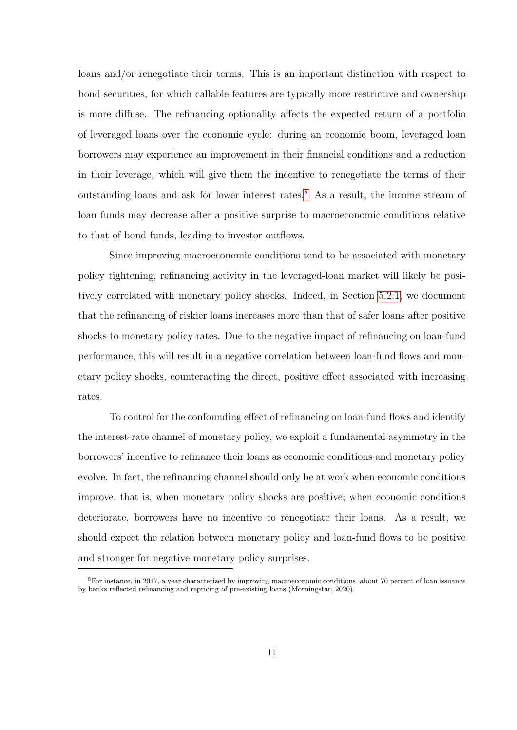loans and/or renegotiate their terms. This is an important distinction with respect to bond securities, for which callable features are typically more restrictive and ownership is more diffuse. The refinancing optionality affects the expected return of a portfolio of leveraged loans over the economic cycle: during an economic boom, leveraged loan borrowers may experience an improvement in their financial conditions and a reduction in their leverage, which will give them the incentive to renegotiate the terms of their outstanding loans and ask for lower interest rates.<sup>8</sup> As a result, the income stream of loan funds may decrease after a positive surprise to macroeconomic conditions relative to that of bond funds, leading to investor outflows.

Since improving macroeconomic conditions tend to be associated with monetary policy tightening, refinancing activity in the leveraged-loan market will likely be positively correlated with monetary policy shocks. Indeed, in Section 5.2.1, we document that the refinancing of riskier loans increases more than that of safer loans after positive shocks to monetary policy rates. Due to the negative impact of refinancing on loan-fund performance, this will result in a negative correlation between loan-fund flows and monetary policy shocks, counteracting the direct, positive effect associated with increasing rates.

To control for the confounding effect of refinancing on loan-fund flows and identify the interest-rate channel of monetary policy, we exploit a fundamental asymmetry in the borrowers' incentive to refinance their loans as economic conditions and monetary policy evolve. In fact, the refinancing channel should only be at work when economic conditions improve, that is, when monetary policy shocks are positive; when economic conditions deteriorate, borrowers have no incentive to renegotiate their loans. As a result, we should expect the relation between monetary policy and loan-fund flows to be positive and stronger for negative monetary policy surprises.

<sup>8</sup>For instance, in 2017, a year characterized by improving macroeconomic conditions, about 70 percent of loan issuance by banks reflected refinancing and repricing of pre-existing loans (Morningstar, 2020).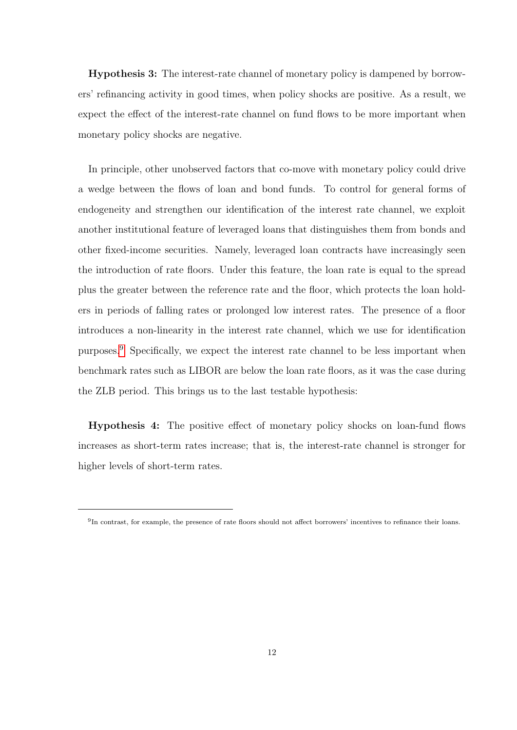Hypothesis 3: The interest-rate channel of monetary policy is dampened by borrowers' refinancing activity in good times, when policy shocks are positive. As a result, we expect the effect of the interest-rate channel on fund flows to be more important when monetary policy shocks are negative.

In principle, other unobserved factors that co-move with monetary policy could drive a wedge between the flows of loan and bond funds. To control for general forms of endogeneity and strengthen our identification of the interest rate channel, we exploit another institutional feature of leveraged loans that distinguishes them from bonds and other fixed-income securities. Namely, leveraged loan contracts have increasingly seen the introduction of rate floors. Under this feature, the loan rate is equal to the spread plus the greater between the reference rate and the floor, which protects the loan holders in periods of falling rates or prolonged low interest rates. The presence of a floor introduces a non-linearity in the interest rate channel, which we use for identification purposes.<sup>9</sup> Specifically, we expect the interest rate channel to be less important when benchmark rates such as LIBOR are below the loan rate floors, as it was the case during the ZLB period. This brings us to the last testable hypothesis:

Hypothesis 4: The positive effect of monetary policy shocks on loan-fund flows increases as short-term rates increase; that is, the interest-rate channel is stronger for higher levels of short-term rates.

<sup>&</sup>lt;sup>9</sup>In contrast, for example, the presence of rate floors should not affect borrowers' incentives to refinance their loans.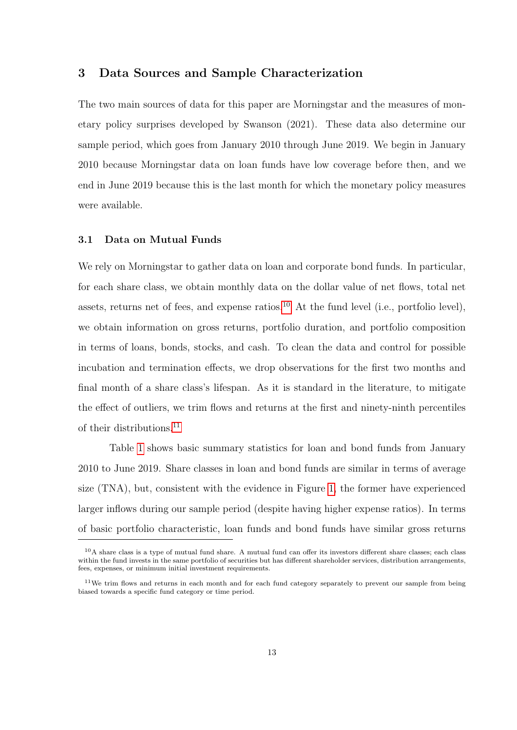## 3 Data Sources and Sample Characterization

The two main sources of data for this paper are Morningstar and the measures of monetary policy surprises developed by Swanson (2021). These data also determine our sample period, which goes from January 2010 through June 2019. We begin in January 2010 because Morningstar data on loan funds have low coverage before then, and we end in June 2019 because this is the last month for which the monetary policy measures were available.

#### 3.1 Data on Mutual Funds

We rely on Morningstar to gather data on loan and corporate bond funds. In particular, for each share class, we obtain monthly data on the dollar value of net flows, total net assets, returns net of fees, and expense ratios.<sup>10</sup> At the fund level (i.e., portfolio level), we obtain information on gross returns, portfolio duration, and portfolio composition in terms of loans, bonds, stocks, and cash. To clean the data and control for possible incubation and termination effects, we drop observations for the first two months and final month of a share class's lifespan. As it is standard in the literature, to mitigate the effect of outliers, we trim flows and returns at the first and ninety-ninth percentiles of their distributions.<sup>11</sup>

Table 1 shows basic summary statistics for loan and bond funds from January 2010 to June 2019. Share classes in loan and bond funds are similar in terms of average size (TNA), but, consistent with the evidence in Figure 1, the former have experienced larger inflows during our sample period (despite having higher expense ratios). In terms of basic portfolio characteristic, loan funds and bond funds have similar gross returns

 $10A$  share class is a type of mutual fund share. A mutual fund can offer its investors different share classes; each class within the fund invests in the same portfolio of securities but has different shareholder services, distribution arrangements, fees, expenses, or minimum initial investment requirements.

<sup>&</sup>lt;sup>11</sup>We trim flows and returns in each month and for each fund category separately to prevent our sample from being biased towards a specific fund category or time period.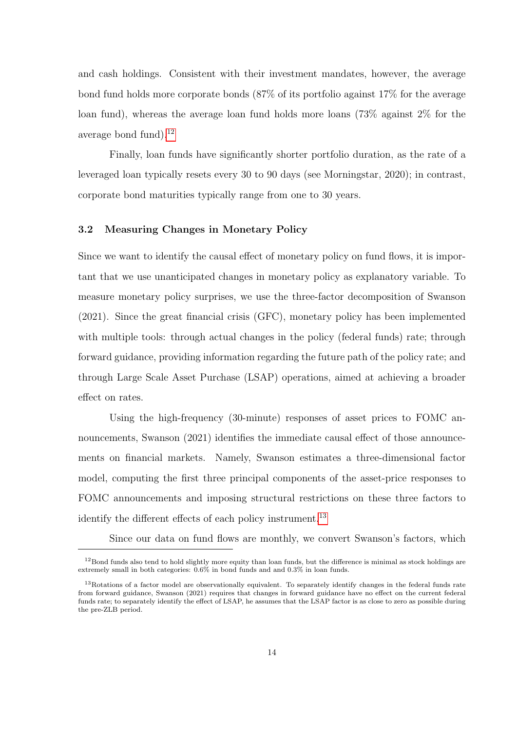and cash holdings. Consistent with their investment mandates, however, the average bond fund holds more corporate bonds (87% of its portfolio against 17% for the average loan fund), whereas the average loan fund holds more loans (73% against 2% for the average bond fund). $^{12}$ 

Finally, loan funds have significantly shorter portfolio duration, as the rate of a leveraged loan typically resets every 30 to 90 days (see Morningstar, 2020); in contrast, corporate bond maturities typically range from one to 30 years.

## 3.2 Measuring Changes in Monetary Policy

Since we want to identify the causal effect of monetary policy on fund flows, it is important that we use unanticipated changes in monetary policy as explanatory variable. To measure monetary policy surprises, we use the three-factor decomposition of Swanson (2021). Since the great financial crisis (GFC), monetary policy has been implemented with multiple tools: through actual changes in the policy (federal funds) rate; through forward guidance, providing information regarding the future path of the policy rate; and through Large Scale Asset Purchase (LSAP) operations, aimed at achieving a broader effect on rates.

Using the high-frequency (30-minute) responses of asset prices to FOMC announcements, Swanson (2021) identifies the immediate causal effect of those announcements on financial markets. Namely, Swanson estimates a three-dimensional factor model, computing the first three principal components of the asset-price responses to FOMC announcements and imposing structural restrictions on these three factors to identify the different effects of each policy instrument.<sup>13</sup>

Since our data on fund flows are monthly, we convert Swanson's factors, which

 $12$ Bond funds also tend to hold slightly more equity than loan funds, but the difference is minimal as stock holdings are extremely small in both categories: 0.6% in bond funds and and 0.3% in loan funds.

 $13$ Rotations of a factor model are observationally equivalent. To separately identify changes in the federal funds rate from forward guidance, Swanson (2021) requires that changes in forward guidance have no effect on the current federal funds rate; to separately identify the effect of LSAP, he assumes that the LSAP factor is as close to zero as possible during the pre-ZLB period.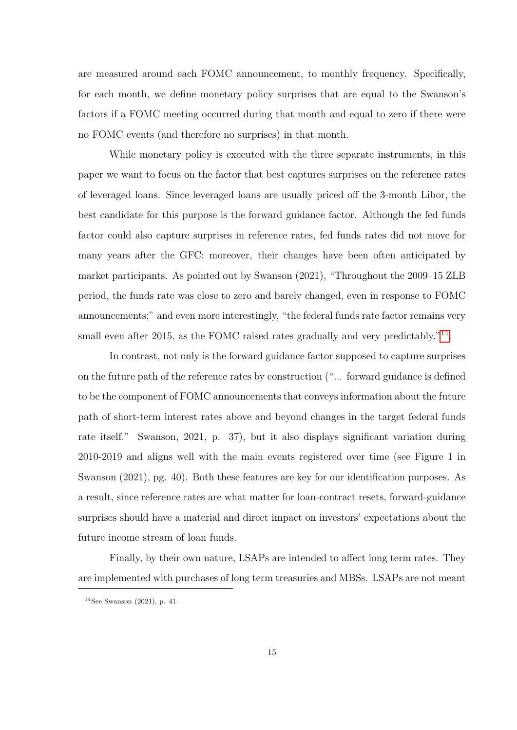are measured around each FOMC announcement, to monthly frequency. Specifically, for each month, we define monetary policy surprises that are equal to the Swanson's factors if a FOMC meeting occurred during that month and equal to zero if there were no FOMC events (and therefore no surprises) in that month.

While monetary policy is executed with the three separate instruments, in this paper we want to focus on the factor that best captures surprises on the reference rates of leveraged loans. Since leveraged loans are usually priced off the 3-month Libor, the best candidate for this purpose is the forward guidance factor. Although the fed funds factor could also capture surprises in reference rates, fed funds rates did not move for many years after the GFC; moreover, their changes have been often anticipated by market participants. As pointed out by Swanson (2021), "Throughout the 2009–15 ZLB period, the funds rate was close to zero and barely changed, even in response to FOMC announcements;" and even more interestingly, "the federal funds rate factor remains very small even after 2015, as the FOMC raised rates gradually and very predictably."<sup>14</sup>.

In contrast, not only is the forward guidance factor supposed to capture surprises on the future path of the reference rates by construction ("... forward guidance is defined to be the component of FOMC announcements that conveys information about the future path of short-term interest rates above and beyond changes in the target federal funds rate itself." Swanson, 2021, p. 37), but it also displays significant variation during 2010-2019 and aligns well with the main events registered over time (see Figure 1 in Swanson (2021), pg. 40). Both these features are key for our identification purposes. As a result, since reference rates are what matter for loan-contract resets, forward-guidance surprises should have a material and direct impact on investors' expectations about the future income stream of loan funds.

Finally, by their own nature, LSAPs are intended to affect long term rates. They are implemented with purchases of long term treasuries and MBSs. LSAPs are not meant

<sup>14</sup>See Swanson (2021), p. 41.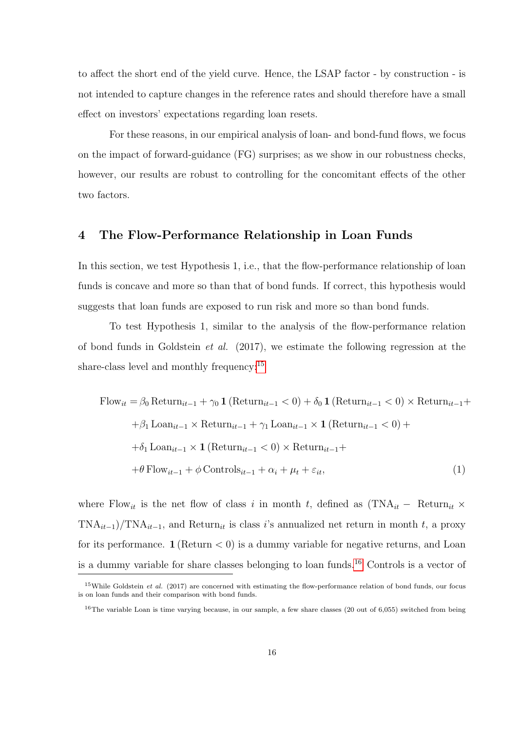to affect the short end of the yield curve. Hence, the LSAP factor - by construction - is not intended to capture changes in the reference rates and should therefore have a small effect on investors' expectations regarding loan resets.

For these reasons, in our empirical analysis of loan- and bond-fund flows, we focus on the impact of forward-guidance (FG) surprises; as we show in our robustness checks, however, our results are robust to controlling for the concomitant effects of the other two factors.

## 4 The Flow-Performance Relationship in Loan Funds

In this section, we test Hypothesis 1, i.e., that the flow-performance relationship of loan funds is concave and more so than that of bond funds. If correct, this hypothesis would suggests that loan funds are exposed to run risk and more so than bond funds.

To test Hypothesis 1, similar to the analysis of the flow-performance relation of bond funds in Goldstein et al. (2017), we estimate the following regression at the share-class level and monthly frequency:<sup>15</sup>

Flow<sub>it</sub> = 
$$
\beta_0
$$
 Return<sub>it-1</sub> +  $\gamma_0$  **1** (Return<sub>it-1</sub> < 0) +  $\delta_0$  **1** (Return<sub>it-1</sub> < 0) × Return<sub>it-1</sub> +  
+ $\beta_1$  Loan<sub>it-1</sub> × Return<sub>it-1</sub> +  $\gamma_1$  Loan<sub>it-1</sub> × **1** (Return<sub>it-1</sub> < 0) +  
+ $\delta_1$  Loan<sub>it-1</sub> × **1** (Return<sub>it-1</sub> < 0) × Return<sub>it-1</sub> +  
+ $\theta$  Flow<sub>it-1</sub> +  $\phi$  Controls<sub>it-1</sub> +  $\alpha_i$  +  $\mu_t$  +  $\varepsilon_{it}$ , (1)

where Flow<sub>it</sub> is the net flow of class i in month t, defined as  $(TNA_{it} - Return_{it} \times$  $TNA_{it-1}/TNA_{it-1}$ , and Return<sub>it</sub> is class i's annualized net return in month t, a proxy for its performance.  $1$  (Return  $<$  0) is a dummy variable for negative returns, and Loan is a dummy variable for share classes belonging to loan funds.<sup>16</sup> Controls is a vector of

<sup>&</sup>lt;sup>15</sup>While Goldstein *et al.* (2017) are concerned with estimating the flow-performance relation of bond funds, our focus is on loan funds and their comparison with bond funds.

<sup>&</sup>lt;sup>16</sup>The variable Loan is time varying because, in our sample, a few share classes (20 out of 6,055) switched from being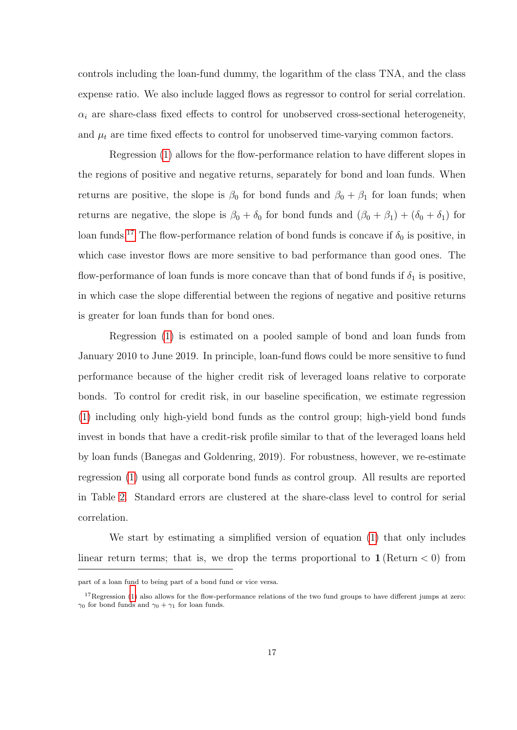controls including the loan-fund dummy, the logarithm of the class TNA, and the class expense ratio. We also include lagged flows as regressor to control for serial correlation.  $\alpha_i$  are share-class fixed effects to control for unobserved cross-sectional heterogeneity, and  $\mu_t$  are time fixed effects to control for unobserved time-varying common factors.

Regression (1) allows for the flow-performance relation to have different slopes in the regions of positive and negative returns, separately for bond and loan funds. When returns are positive, the slope is  $\beta_0$  for bond funds and  $\beta_0 + \beta_1$  for loan funds; when returns are negative, the slope is  $\beta_0 + \delta_0$  for bond funds and  $(\beta_0 + \beta_1) + (\delta_0 + \delta_1)$  for loan funds.<sup>17</sup> The flow-performance relation of bond funds is concave if  $\delta_0$  is positive, in which case investor flows are more sensitive to bad performance than good ones. The flow-performance of loan funds is more concave than that of bond funds if  $\delta_1$  is positive, in which case the slope differential between the regions of negative and positive returns is greater for loan funds than for bond ones.

Regression (1) is estimated on a pooled sample of bond and loan funds from January 2010 to June 2019. In principle, loan-fund flows could be more sensitive to fund performance because of the higher credit risk of leveraged loans relative to corporate bonds. To control for credit risk, in our baseline specification, we estimate regression (1) including only high-yield bond funds as the control group; high-yield bond funds invest in bonds that have a credit-risk profile similar to that of the leveraged loans held by loan funds (Banegas and Goldenring, 2019). For robustness, however, we re-estimate regression (1) using all corporate bond funds as control group. All results are reported in Table 2. Standard errors are clustered at the share-class level to control for serial correlation.

We start by estimating a simplified version of equation (1) that only includes linear return terms; that is, we drop the terms proportional to  $1$  (Return  $\lt 0$ ) from

part of a loan fund to being part of a bond fund or vice versa.

 $17$ Regression (1) also allows for the flow-performance relations of the two fund groups to have different jumps at zero:  $\gamma_0$  for bond funds and  $\gamma_0 + \gamma_1$  for loan funds.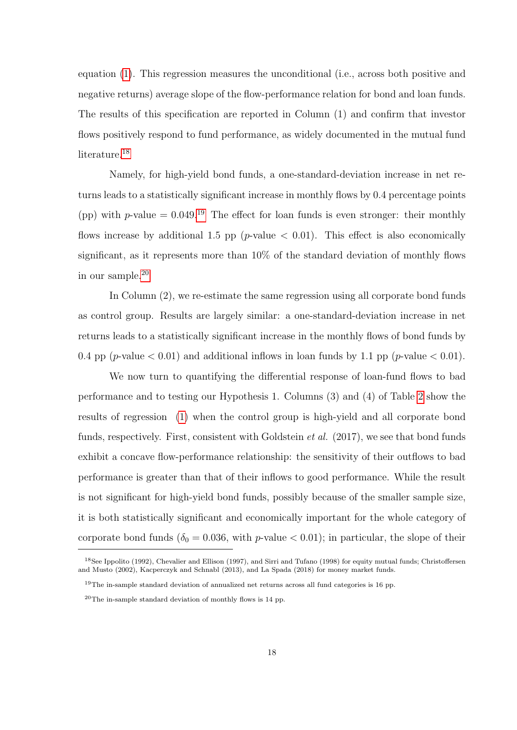equation (1). This regression measures the unconditional (i.e., across both positive and negative returns) average slope of the flow-performance relation for bond and loan funds. The results of this specification are reported in Column (1) and confirm that investor flows positively respond to fund performance, as widely documented in the mutual fund literature.<sup>18</sup>

Namely, for high-yield bond funds, a one-standard-deviation increase in net returns leads to a statistically significant increase in monthly flows by 0.4 percentage points (pp) with p-value =  $0.049^{19}$  The effect for loan funds is even stronger: their monthly flows increase by additional 1.5 pp ( $p$ -value  $\lt$  0.01). This effect is also economically significant, as it represents more than 10% of the standard deviation of monthly flows in our sample.<sup>20</sup>

In Column (2), we re-estimate the same regression using all corporate bond funds as control group. Results are largely similar: a one-standard-deviation increase in net returns leads to a statistically significant increase in the monthly flows of bond funds by 0.4 pp (*p*-value  $< 0.01$ ) and additional inflows in loan funds by 1.1 pp (*p*-value  $< 0.01$ ).

We now turn to quantifying the differential response of loan-fund flows to bad performance and to testing our Hypothesis 1. Columns (3) and (4) of Table 2 show the results of regression (1) when the control group is high-yield and all corporate bond funds, respectively. First, consistent with Goldstein et al. (2017), we see that bond funds exhibit a concave flow-performance relationship: the sensitivity of their outflows to bad performance is greater than that of their inflows to good performance. While the result is not significant for high-yield bond funds, possibly because of the smaller sample size, it is both statistically significant and economically important for the whole category of corporate bond funds ( $\delta_0 = 0.036$ , with p-value < 0.01); in particular, the slope of their

<sup>18</sup>See Ippolito (1992), Chevalier and Ellison (1997), and Sirri and Tufano (1998) for equity mutual funds; Christoffersen and Musto (2002), Kacperczyk and Schnabl (2013), and La Spada (2018) for money market funds.

<sup>19</sup>The in-sample standard deviation of annualized net returns across all fund categories is 16 pp.

 $20$ The in-sample standard deviation of monthly flows is 14 pp.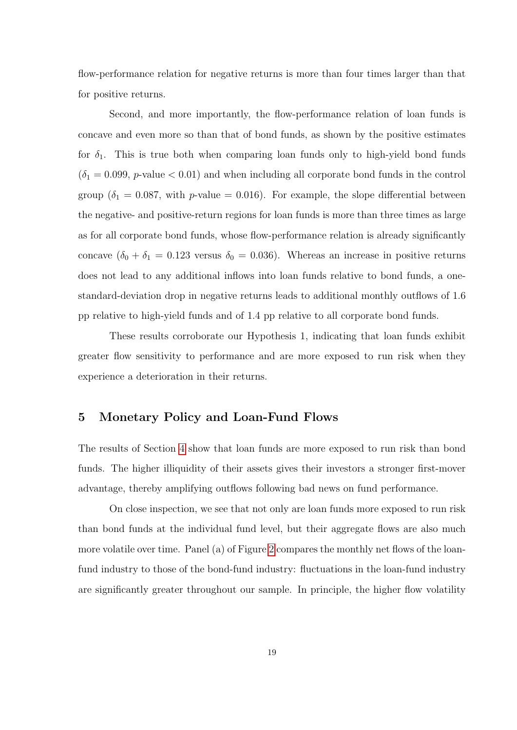flow-performance relation for negative returns is more than four times larger than that for positive returns.

Second, and more importantly, the flow-performance relation of loan funds is concave and even more so than that of bond funds, as shown by the positive estimates for  $\delta_1$ . This is true both when comparing loan funds only to high-yield bond funds  $(\delta_1 = 0.099, p$ -value  $< 0.01$ ) and when including all corporate bond funds in the control group ( $\delta_1 = 0.087$ , with p-value = 0.016). For example, the slope differential between the negative- and positive-return regions for loan funds is more than three times as large as for all corporate bond funds, whose flow-performance relation is already significantly concave  $(\delta_0 + \delta_1 = 0.123$  versus  $\delta_0 = 0.036$ ). Whereas an increase in positive returns does not lead to any additional inflows into loan funds relative to bond funds, a onestandard-deviation drop in negative returns leads to additional monthly outflows of 1.6 pp relative to high-yield funds and of 1.4 pp relative to all corporate bond funds.

These results corroborate our Hypothesis 1, indicating that loan funds exhibit greater flow sensitivity to performance and are more exposed to run risk when they experience a deterioration in their returns.

## 5 Monetary Policy and Loan-Fund Flows

The results of Section 4 show that loan funds are more exposed to run risk than bond funds. The higher illiquidity of their assets gives their investors a stronger first-mover advantage, thereby amplifying outflows following bad news on fund performance.

On close inspection, we see that not only are loan funds more exposed to run risk than bond funds at the individual fund level, but their aggregate flows are also much more volatile over time. Panel (a) of Figure 2 compares the monthly net flows of the loanfund industry to those of the bond-fund industry: fluctuations in the loan-fund industry are significantly greater throughout our sample. In principle, the higher flow volatility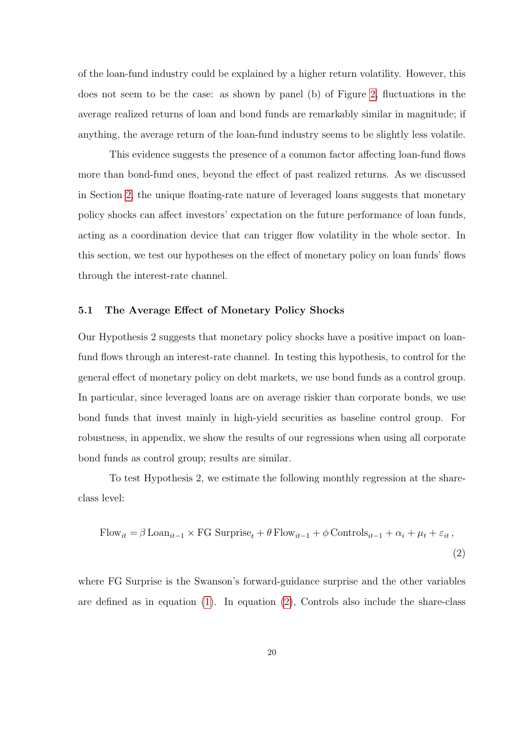of the loan-fund industry could be explained by a higher return volatility. However, this does not seem to be the case: as shown by panel (b) of Figure 2, fluctuations in the average realized returns of loan and bond funds are remarkably similar in magnitude; if anything, the average return of the loan-fund industry seems to be slightly less volatile.

This evidence suggests the presence of a common factor affecting loan-fund flows more than bond-fund ones, beyond the effect of past realized returns. As we discussed in Section 2, the unique floating-rate nature of leveraged loans suggests that monetary policy shocks can affect investors' expectation on the future performance of loan funds, acting as a coordination device that can trigger flow volatility in the whole sector. In this section, we test our hypotheses on the effect of monetary policy on loan funds' flows through the interest-rate channel.

## 5.1 The Average Effect of Monetary Policy Shocks

Our Hypothesis 2 suggests that monetary policy shocks have a positive impact on loanfund flows through an interest-rate channel. In testing this hypothesis, to control for the general effect of monetary policy on debt markets, we use bond funds as a control group. In particular, since leveraged loans are on average riskier than corporate bonds, we use bond funds that invest mainly in high-yield securities as baseline control group. For robustness, in appendix, we show the results of our regressions when using all corporate bond funds as control group; results are similar.

To test Hypothesis 2, we estimate the following monthly regression at the shareclass level:

Flow<sub>it</sub> = 
$$
\beta
$$
 Loan<sub>it-1</sub> × FG Surprise<sub>t</sub> +  $\theta$  Flow<sub>it-1</sub> +  $\phi$  Controls<sub>it-1</sub> +  $\alpha_i$  +  $\mu_t$  +  $\varepsilon_{it}$ , (2)

where FG Surprise is the Swanson's forward-guidance surprise and the other variables are defined as in equation (1). In equation (2), Controls also include the share-class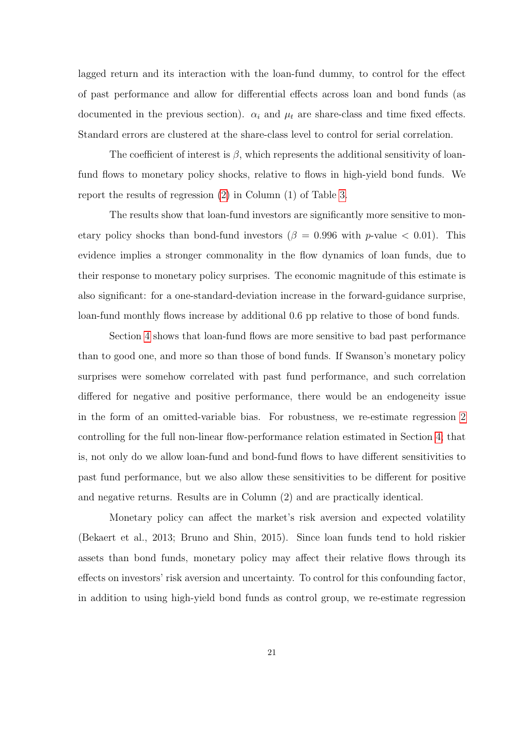lagged return and its interaction with the loan-fund dummy, to control for the effect of past performance and allow for differential effects across loan and bond funds (as documented in the previous section).  $\alpha_i$  and  $\mu_t$  are share-class and time fixed effects. Standard errors are clustered at the share-class level to control for serial correlation.

The coefficient of interest is  $\beta$ , which represents the additional sensitivity of loanfund flows to monetary policy shocks, relative to flows in high-yield bond funds. We report the results of regression (2) in Column (1) of Table 3.

The results show that loan-fund investors are significantly more sensitive to monetary policy shocks than bond-fund investors ( $\beta = 0.996$  with p-value  $< 0.01$ ). This evidence implies a stronger commonality in the flow dynamics of loan funds, due to their response to monetary policy surprises. The economic magnitude of this estimate is also significant: for a one-standard-deviation increase in the forward-guidance surprise, loan-fund monthly flows increase by additional 0.6 pp relative to those of bond funds.

Section 4 shows that loan-fund flows are more sensitive to bad past performance than to good one, and more so than those of bond funds. If Swanson's monetary policy surprises were somehow correlated with past fund performance, and such correlation differed for negative and positive performance, there would be an endogeneity issue in the form of an omitted-variable bias. For robustness, we re-estimate regression 2 controlling for the full non-linear flow-performance relation estimated in Section 4; that is, not only do we allow loan-fund and bond-fund flows to have different sensitivities to past fund performance, but we also allow these sensitivities to be different for positive and negative returns. Results are in Column (2) and are practically identical.

Monetary policy can affect the market's risk aversion and expected volatility (Bekaert et al., 2013; Bruno and Shin, 2015). Since loan funds tend to hold riskier assets than bond funds, monetary policy may affect their relative flows through its effects on investors' risk aversion and uncertainty. To control for this confounding factor, in addition to using high-yield bond funds as control group, we re-estimate regression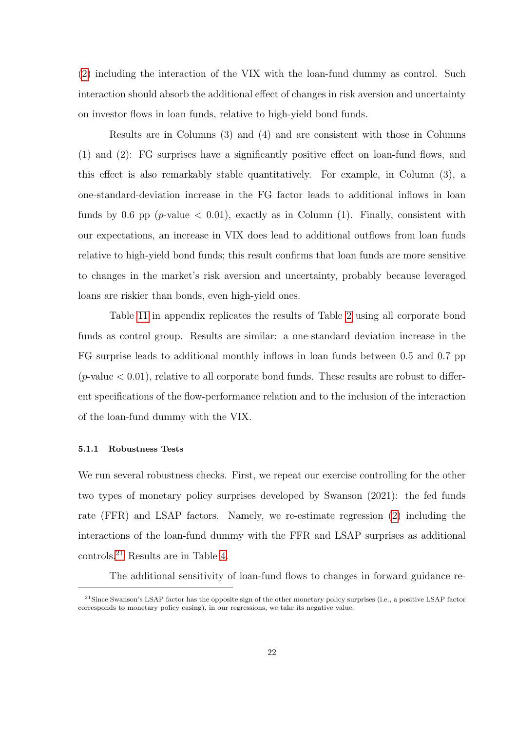(2) including the interaction of the VIX with the loan-fund dummy as control. Such interaction should absorb the additional effect of changes in risk aversion and uncertainty on investor flows in loan funds, relative to high-yield bond funds.

Results are in Columns (3) and (4) and are consistent with those in Columns (1) and (2): FG surprises have a significantly positive effect on loan-fund flows, and this effect is also remarkably stable quantitatively. For example, in Column (3), a one-standard-deviation increase in the FG factor leads to additional inflows in loan funds by 0.6 pp (*p*-value  $\lt$  0.01), exactly as in Column (1). Finally, consistent with our expectations, an increase in VIX does lead to additional outflows from loan funds relative to high-yield bond funds; this result confirms that loan funds are more sensitive to changes in the market's risk aversion and uncertainty, probably because leveraged loans are riskier than bonds, even high-yield ones.

Table 11 in appendix replicates the results of Table 2 using all corporate bond funds as control group. Results are similar: a one-standard deviation increase in the FG surprise leads to additional monthly inflows in loan funds between 0.5 and 0.7 pp  $(p\text{-value} < 0.01)$ , relative to all corporate bond funds. These results are robust to different specifications of the flow-performance relation and to the inclusion of the interaction of the loan-fund dummy with the VIX.

#### 5.1.1 Robustness Tests

We run several robustness checks. First, we repeat our exercise controlling for the other two types of monetary policy surprises developed by Swanson (2021): the fed funds rate (FFR) and LSAP factors. Namely, we re-estimate regression (2) including the interactions of the loan-fund dummy with the FFR and LSAP surprises as additional controls.<sup>21</sup> Results are in Table 4.

The additional sensitivity of loan-fund flows to changes in forward guidance re-

 $21$ Since Swanson's LSAP factor has the opposite sign of the other monetary policy surprises (i.e., a positive LSAP factor corresponds to monetary policy easing), in our regressions, we take its negative value.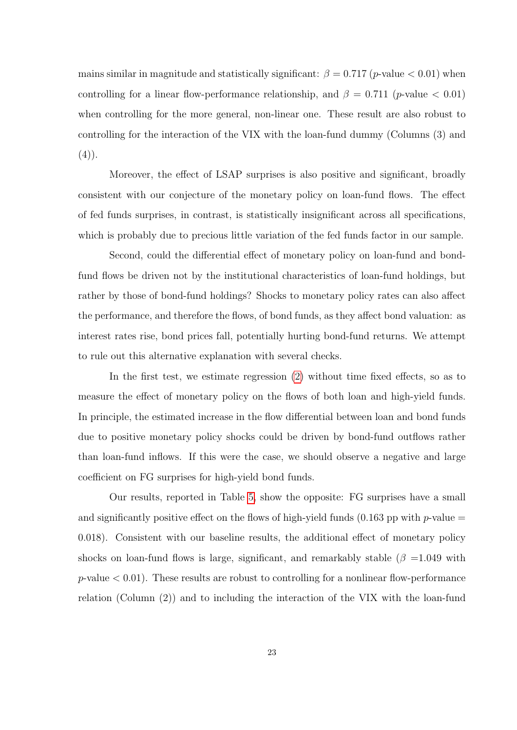mains similar in magnitude and statistically significant:  $\beta = 0.717$  (p-value  $< 0.01$ ) when controlling for a linear flow-performance relationship, and  $\beta = 0.711$  (*p*-value < 0.01) when controlling for the more general, non-linear one. These result are also robust to controlling for the interaction of the VIX with the loan-fund dummy (Columns (3) and  $(4)$ .

Moreover, the effect of LSAP surprises is also positive and significant, broadly consistent with our conjecture of the monetary policy on loan-fund flows. The effect of fed funds surprises, in contrast, is statistically insignificant across all specifications, which is probably due to precious little variation of the fed funds factor in our sample.

Second, could the differential effect of monetary policy on loan-fund and bondfund flows be driven not by the institutional characteristics of loan-fund holdings, but rather by those of bond-fund holdings? Shocks to monetary policy rates can also affect the performance, and therefore the flows, of bond funds, as they affect bond valuation: as interest rates rise, bond prices fall, potentially hurting bond-fund returns. We attempt to rule out this alternative explanation with several checks.

In the first test, we estimate regression (2) without time fixed effects, so as to measure the effect of monetary policy on the flows of both loan and high-yield funds. In principle, the estimated increase in the flow differential between loan and bond funds due to positive monetary policy shocks could be driven by bond-fund outflows rather than loan-fund inflows. If this were the case, we should observe a negative and large coefficient on FG surprises for high-yield bond funds.

Our results, reported in Table 5, show the opposite: FG surprises have a small and significantly positive effect on the flows of high-yield funds (0.163 pp with p-value  $=$ 0.018). Consistent with our baseline results, the additional effect of monetary policy shocks on loan-fund flows is large, significant, and remarkably stable ( $\beta = 1.049$  with  $p$ -value  $< 0.01$ ). These results are robust to controlling for a nonlinear flow-performance relation (Column (2)) and to including the interaction of the VIX with the loan-fund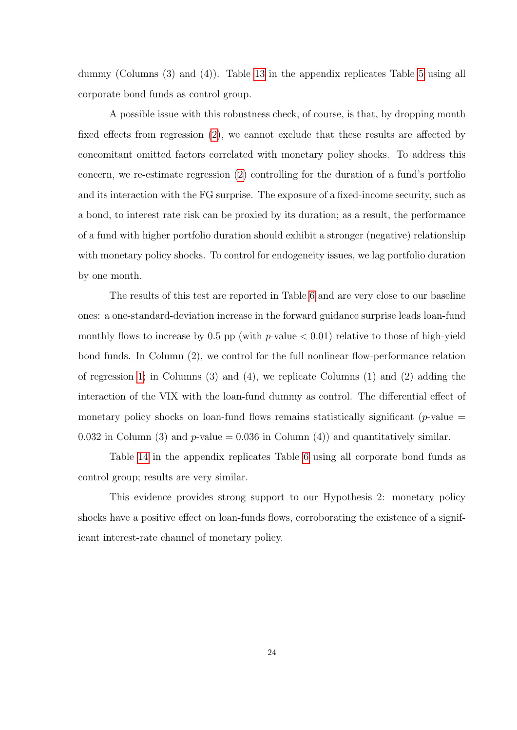dummy (Columns (3) and (4)). Table 13 in the appendix replicates Table 5 using all corporate bond funds as control group.

A possible issue with this robustness check, of course, is that, by dropping month fixed effects from regression (2), we cannot exclude that these results are affected by concomitant omitted factors correlated with monetary policy shocks. To address this concern, we re-estimate regression (2) controlling for the duration of a fund's portfolio and its interaction with the FG surprise. The exposure of a fixed-income security, such as a bond, to interest rate risk can be proxied by its duration; as a result, the performance of a fund with higher portfolio duration should exhibit a stronger (negative) relationship with monetary policy shocks. To control for endogeneity issues, we lag portfolio duration by one month.

The results of this test are reported in Table 6 and are very close to our baseline ones: a one-standard-deviation increase in the forward guidance surprise leads loan-fund monthly flows to increase by 0.5 pp (with  $p$ -value  $<$  0.01) relative to those of high-yield bond funds. In Column (2), we control for the full nonlinear flow-performance relation of regression 1; in Columns  $(3)$  and  $(4)$ , we replicate Columns  $(1)$  and  $(2)$  adding the interaction of the VIX with the loan-fund dummy as control. The differential effect of monetary policy shocks on loan-fund flows remains statistically significant ( $p$ -value  $=$ 0.032 in Column (3) and  $p$ -value = 0.036 in Column (4)) and quantitatively similar.

Table 14 in the appendix replicates Table 6 using all corporate bond funds as control group; results are very similar.

This evidence provides strong support to our Hypothesis 2: monetary policy shocks have a positive effect on loan-funds flows, corroborating the existence of a significant interest-rate channel of monetary policy.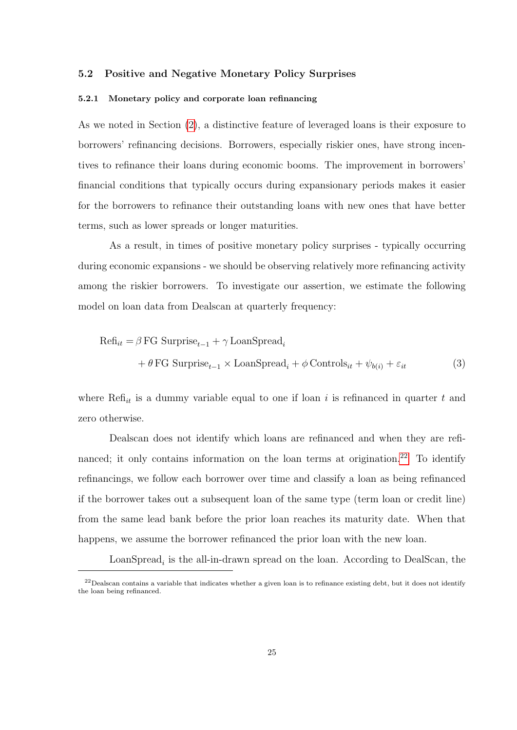## 5.2 Positive and Negative Monetary Policy Surprises

## 5.2.1 Monetary policy and corporate loan refinancing

As we noted in Section (2), a distinctive feature of leveraged loans is their exposure to borrowers' refinancing decisions. Borrowers, especially riskier ones, have strong incentives to refinance their loans during economic booms. The improvement in borrowers' financial conditions that typically occurs during expansionary periods makes it easier for the borrowers to refinance their outstanding loans with new ones that have better terms, such as lower spreads or longer maturities.

As a result, in times of positive monetary policy surprises - typically occurring during economic expansions - we should be observing relatively more refinancing activity among the riskier borrowers. To investigate our assertion, we estimate the following model on loan data from Dealscan at quarterly frequency:

$$
\begin{aligned} \text{Ref}_{it} &= \beta \, \text{FG} \, \, \text{Surprise}_{t-1} + \gamma \, \text{LoanSpread}_{i} \\ &+ \theta \, \text{FG} \, \, \text{Surprise}_{t-1} \times \text{LoanSpread}_{i} + \phi \, \text{Controls}_{it} + \psi_{b(i)} + \varepsilon_{it} \end{aligned} \tag{3}
$$

where  $\text{Ref}_{it}$  is a dummy variable equal to one if loan i is refinanced in quarter t and zero otherwise.

Dealscan does not identify which loans are refinanced and when they are refinanced; it only contains information on the loan terms at origination.<sup>22</sup> To identify refinancings, we follow each borrower over time and classify a loan as being refinanced if the borrower takes out a subsequent loan of the same type (term loan or credit line) from the same lead bank before the prior loan reaches its maturity date. When that happens, we assume the borrower refinanced the prior loan with the new loan.

 $\text{LoanSpread}_i$  is the all-in-drawn spread on the loan. According to DealScan, the

 $22$ Dealscan contains a variable that indicates whether a given loan is to refinance existing debt, but it does not identify the loan being refinanced.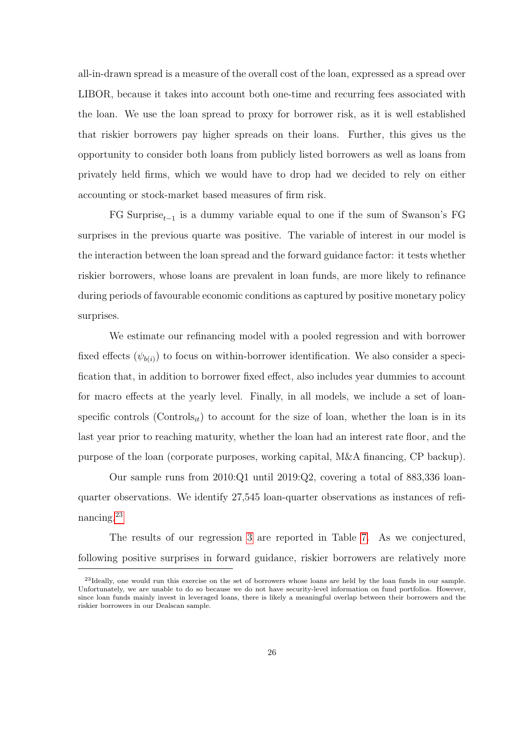all-in-drawn spread is a measure of the overall cost of the loan, expressed as a spread over LIBOR, because it takes into account both one-time and recurring fees associated with the loan. We use the loan spread to proxy for borrower risk, as it is well established that riskier borrowers pay higher spreads on their loans. Further, this gives us the opportunity to consider both loans from publicly listed borrowers as well as loans from privately held firms, which we would have to drop had we decided to rely on either accounting or stock-market based measures of firm risk.

FG Surprise<sub>t−1</sub> is a dummy variable equal to one if the sum of Swanson's FG surprises in the previous quarte was positive. The variable of interest in our model is the interaction between the loan spread and the forward guidance factor: it tests whether riskier borrowers, whose loans are prevalent in loan funds, are more likely to refinance during periods of favourable economic conditions as captured by positive monetary policy surprises.

We estimate our refinancing model with a pooled regression and with borrower fixed effects  $(\psi_{b(i)})$  to focus on within-borrower identification. We also consider a specification that, in addition to borrower fixed effect, also includes year dummies to account for macro effects at the yearly level. Finally, in all models, we include a set of loanspecific controls (Controls<sub>it</sub>) to account for the size of loan, whether the loan is in its last year prior to reaching maturity, whether the loan had an interest rate floor, and the purpose of the loan (corporate purposes, working capital, M&A financing, CP backup).

Our sample runs from 2010:Q1 until 2019:Q2, covering a total of 883,336 loanquarter observations. We identify 27,545 loan-quarter observations as instances of refinancing.<sup>23</sup>

The results of our regression 3 are reported in Table 7. As we conjectured, following positive surprises in forward guidance, riskier borrowers are relatively more

<sup>&</sup>lt;sup>23</sup>Ideally, one would run this exercise on the set of borrowers whose loans are held by the loan funds in our sample. Unfortunately, we are unable to do so because we do not have security-level information on fund portfolios. However, since loan funds mainly invest in leveraged loans, there is likely a meaningful overlap between their borrowers and the riskier borrowers in our Dealscan sample.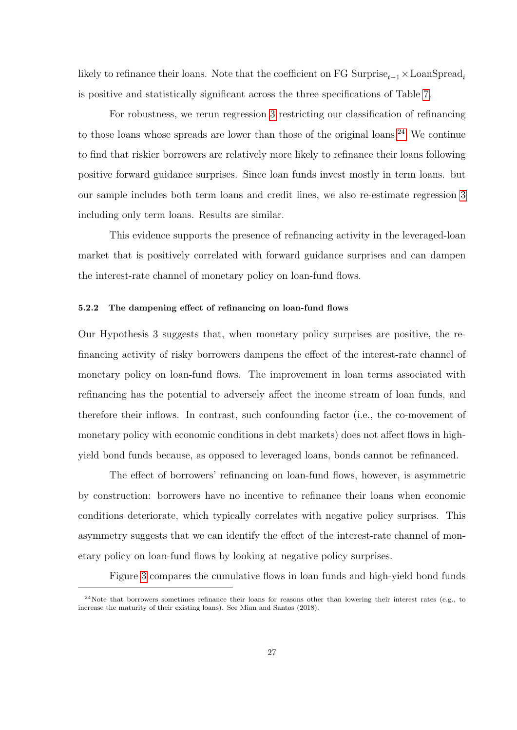likely to refinance their loans. Note that the coefficient on FG Surprise<sub>t−1</sub>  $\times$  LoanSpread<sub>i</sub> is positive and statistically significant across the three specifications of Table 7.

For robustness, we rerun regression 3 restricting our classification of refinancing to those loans whose spreads are lower than those of the original loans.<sup>24</sup> We continue to find that riskier borrowers are relatively more likely to refinance their loans following positive forward guidance surprises. Since loan funds invest mostly in term loans. but our sample includes both term loans and credit lines, we also re-estimate regression 3 including only term loans. Results are similar.

This evidence supports the presence of refinancing activity in the leveraged-loan market that is positively correlated with forward guidance surprises and can dampen the interest-rate channel of monetary policy on loan-fund flows.

## 5.2.2 The dampening effect of refinancing on loan-fund flows

Our Hypothesis 3 suggests that, when monetary policy surprises are positive, the refinancing activity of risky borrowers dampens the effect of the interest-rate channel of monetary policy on loan-fund flows. The improvement in loan terms associated with refinancing has the potential to adversely affect the income stream of loan funds, and therefore their inflows. In contrast, such confounding factor (i.e., the co-movement of monetary policy with economic conditions in debt markets) does not affect flows in highyield bond funds because, as opposed to leveraged loans, bonds cannot be refinanced.

The effect of borrowers' refinancing on loan-fund flows, however, is asymmetric by construction: borrowers have no incentive to refinance their loans when economic conditions deteriorate, which typically correlates with negative policy surprises. This asymmetry suggests that we can identify the effect of the interest-rate channel of monetary policy on loan-fund flows by looking at negative policy surprises.

Figure 3 compares the cumulative flows in loan funds and high-yield bond funds

 $24$ Note that borrowers sometimes refinance their loans for reasons other than lowering their interest rates (e.g., to increase the maturity of their existing loans). See Mian and Santos (2018).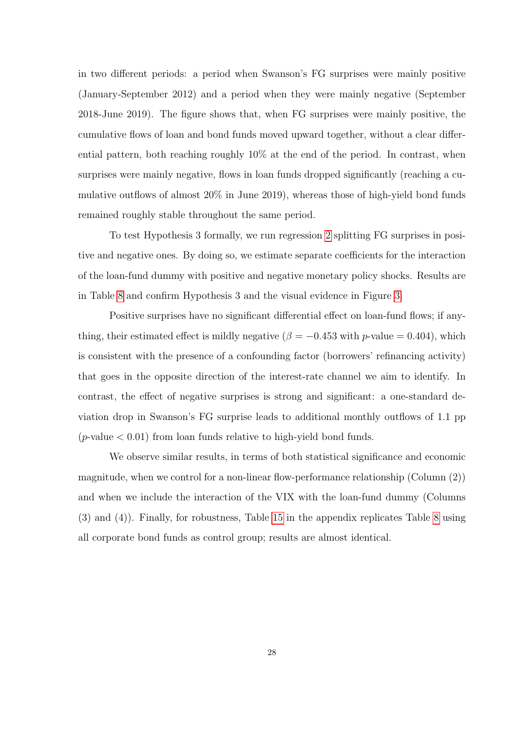in two different periods: a period when Swanson's FG surprises were mainly positive (January-September 2012) and a period when they were mainly negative (September 2018-June 2019). The figure shows that, when FG surprises were mainly positive, the cumulative flows of loan and bond funds moved upward together, without a clear differential pattern, both reaching roughly 10% at the end of the period. In contrast, when surprises were mainly negative, flows in loan funds dropped significantly (reaching a cumulative outflows of almost 20% in June 2019), whereas those of high-yield bond funds remained roughly stable throughout the same period.

To test Hypothesis 3 formally, we run regression 2 splitting FG surprises in positive and negative ones. By doing so, we estimate separate coefficients for the interaction of the loan-fund dummy with positive and negative monetary policy shocks. Results are in Table 8 and confirm Hypothesis 3 and the visual evidence in Figure 3.

Positive surprises have no significant differential effect on loan-fund flows; if anything, their estimated effect is mildly negative ( $\beta = -0.453$  with p-value = 0.404), which is consistent with the presence of a confounding factor (borrowers' refinancing activity) that goes in the opposite direction of the interest-rate channel we aim to identify. In contrast, the effect of negative surprises is strong and significant: a one-standard deviation drop in Swanson's FG surprise leads to additional monthly outflows of 1.1 pp ( $p$ -value  $< 0.01$ ) from loan funds relative to high-yield bond funds.

We observe similar results, in terms of both statistical significance and economic magnitude, when we control for a non-linear flow-performance relationship (Column (2)) and when we include the interaction of the VIX with the loan-fund dummy (Columns (3) and (4)). Finally, for robustness, Table 15 in the appendix replicates Table 8 using all corporate bond funds as control group; results are almost identical.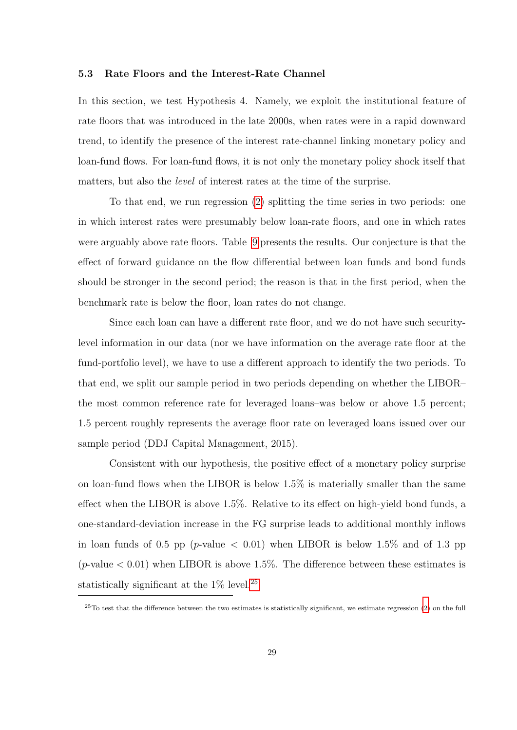#### 5.3 Rate Floors and the Interest-Rate Channel

In this section, we test Hypothesis 4. Namely, we exploit the institutional feature of rate floors that was introduced in the late 2000s, when rates were in a rapid downward trend, to identify the presence of the interest rate-channel linking monetary policy and loan-fund flows. For loan-fund flows, it is not only the monetary policy shock itself that matters, but also the level of interest rates at the time of the surprise.

To that end, we run regression (2) splitting the time series in two periods: one in which interest rates were presumably below loan-rate floors, and one in which rates were arguably above rate floors. Table 9 presents the results. Our conjecture is that the effect of forward guidance on the flow differential between loan funds and bond funds should be stronger in the second period; the reason is that in the first period, when the benchmark rate is below the floor, loan rates do not change.

Since each loan can have a different rate floor, and we do not have such securitylevel information in our data (nor we have information on the average rate floor at the fund-portfolio level), we have to use a different approach to identify the two periods. To that end, we split our sample period in two periods depending on whether the LIBOR– the most common reference rate for leveraged loans–was below or above 1.5 percent; 1.5 percent roughly represents the average floor rate on leveraged loans issued over our sample period (DDJ Capital Management, 2015).

Consistent with our hypothesis, the positive effect of a monetary policy surprise on loan-fund flows when the LIBOR is below 1.5% is materially smaller than the same effect when the LIBOR is above 1.5%. Relative to its effect on high-yield bond funds, a one-standard-deviation increase in the FG surprise leads to additional monthly inflows in loan funds of 0.5 pp (*p*-value  $\langle$  0.01) when LIBOR is below 1.5% and of 1.3 pp (*p*-value  $< 0.01$ ) when LIBOR is above 1.5%. The difference between these estimates is statistically significant at the  $1\%$  level.<sup>25</sup>

 $25T$ o test that the difference between the two estimates is statistically significant, we estimate regression (2) on the full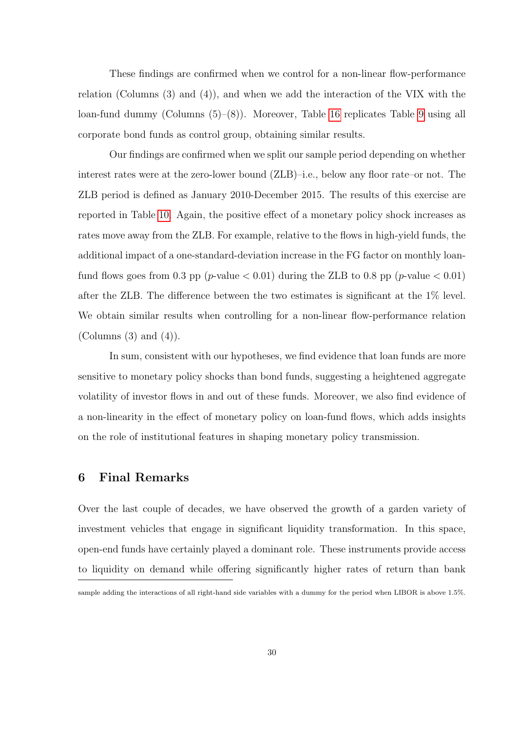These findings are confirmed when we control for a non-linear flow-performance relation (Columns (3) and (4)), and when we add the interaction of the VIX with the loan-fund dummy (Columns (5)–(8)). Moreover, Table 16 replicates Table 9 using all corporate bond funds as control group, obtaining similar results.

Our findings are confirmed when we split our sample period depending on whether interest rates were at the zero-lower bound (ZLB)–i.e., below any floor rate–or not. The ZLB period is defined as January 2010-December 2015. The results of this exercise are reported in Table 10. Again, the positive effect of a monetary policy shock increases as rates move away from the ZLB. For example, relative to the flows in high-yield funds, the additional impact of a one-standard-deviation increase in the FG factor on monthly loanfund flows goes from 0.3 pp (*p*-value  $< 0.01$ ) during the ZLB to 0.8 pp (*p*-value  $< 0.01$ ) after the ZLB. The difference between the two estimates is significant at the 1% level. We obtain similar results when controlling for a non-linear flow-performance relation (Columns  $(3)$  and  $(4)$ ).

In sum, consistent with our hypotheses, we find evidence that loan funds are more sensitive to monetary policy shocks than bond funds, suggesting a heightened aggregate volatility of investor flows in and out of these funds. Moreover, we also find evidence of a non-linearity in the effect of monetary policy on loan-fund flows, which adds insights on the role of institutional features in shaping monetary policy transmission.

## 6 Final Remarks

Over the last couple of decades, we have observed the growth of a garden variety of investment vehicles that engage in significant liquidity transformation. In this space, open-end funds have certainly played a dominant role. These instruments provide access to liquidity on demand while offering significantly higher rates of return than bank

sample adding the interactions of all right-hand side variables with a dummy for the period when LIBOR is above 1.5%.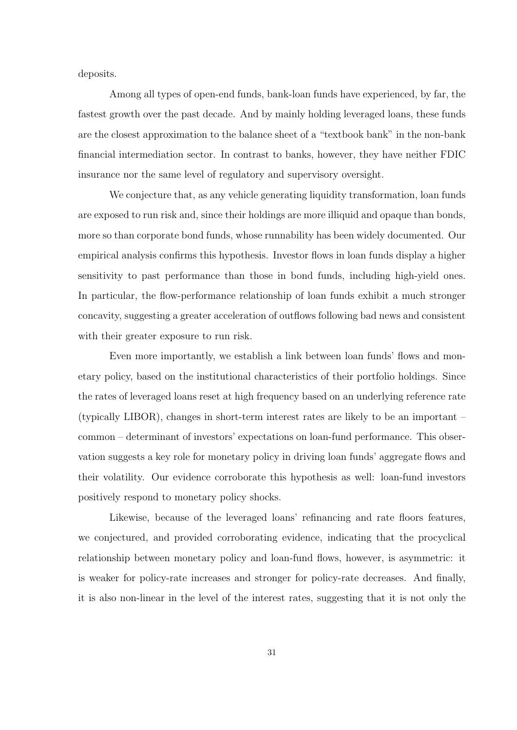deposits.

Among all types of open-end funds, bank-loan funds have experienced, by far, the fastest growth over the past decade. And by mainly holding leveraged loans, these funds are the closest approximation to the balance sheet of a "textbook bank" in the non-bank financial intermediation sector. In contrast to banks, however, they have neither FDIC insurance nor the same level of regulatory and supervisory oversight.

We conjecture that, as any vehicle generating liquidity transformation, loan funds are exposed to run risk and, since their holdings are more illiquid and opaque than bonds, more so than corporate bond funds, whose runnability has been widely documented. Our empirical analysis confirms this hypothesis. Investor flows in loan funds display a higher sensitivity to past performance than those in bond funds, including high-yield ones. In particular, the flow-performance relationship of loan funds exhibit a much stronger concavity, suggesting a greater acceleration of outflows following bad news and consistent with their greater exposure to run risk.

Even more importantly, we establish a link between loan funds' flows and monetary policy, based on the institutional characteristics of their portfolio holdings. Since the rates of leveraged loans reset at high frequency based on an underlying reference rate (typically LIBOR), changes in short-term interest rates are likely to be an important – common – determinant of investors' expectations on loan-fund performance. This observation suggests a key role for monetary policy in driving loan funds' aggregate flows and their volatility. Our evidence corroborate this hypothesis as well: loan-fund investors positively respond to monetary policy shocks.

Likewise, because of the leveraged loans' refinancing and rate floors features, we conjectured, and provided corroborating evidence, indicating that the procyclical relationship between monetary policy and loan-fund flows, however, is asymmetric: it is weaker for policy-rate increases and stronger for policy-rate decreases. And finally, it is also non-linear in the level of the interest rates, suggesting that it is not only the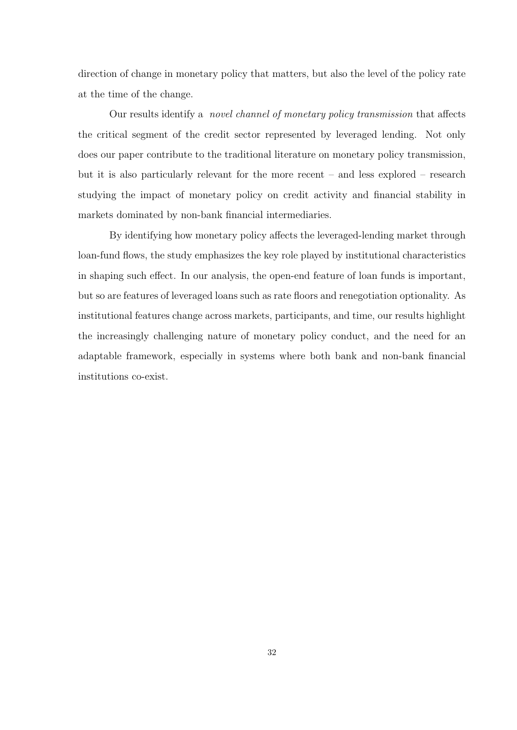direction of change in monetary policy that matters, but also the level of the policy rate at the time of the change.

Our results identify a novel channel of monetary policy transmission that affects the critical segment of the credit sector represented by leveraged lending. Not only does our paper contribute to the traditional literature on monetary policy transmission, but it is also particularly relevant for the more recent – and less explored – research studying the impact of monetary policy on credit activity and financial stability in markets dominated by non-bank financial intermediaries.

By identifying how monetary policy affects the leveraged-lending market through loan-fund flows, the study emphasizes the key role played by institutional characteristics in shaping such effect. In our analysis, the open-end feature of loan funds is important, but so are features of leveraged loans such as rate floors and renegotiation optionality. As institutional features change across markets, participants, and time, our results highlight the increasingly challenging nature of monetary policy conduct, and the need for an adaptable framework, especially in systems where both bank and non-bank financial institutions co-exist.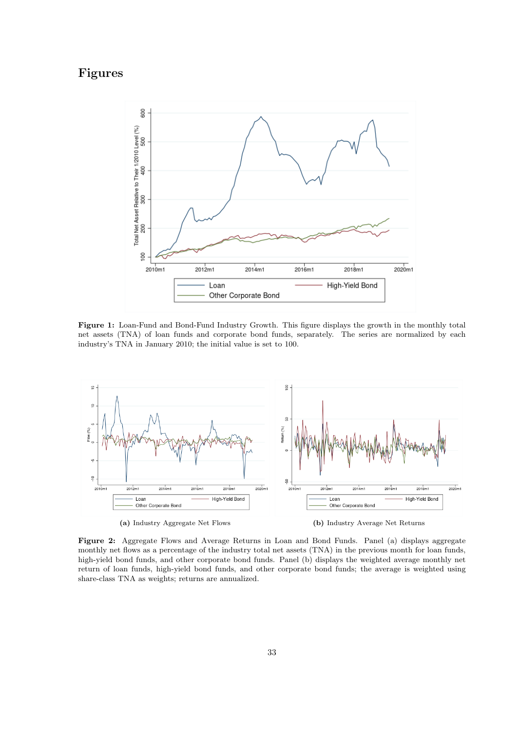# Figures



Figure 1: Loan-Fund and Bond-Fund Industry Growth. This figure displays the growth in the monthly total net assets (TNA) of loan funds and corporate bond funds, separately. The series are normalized by each industry's TNA in January 2010; the initial value is set to 100.



Figure 2: Aggregate Flows and Average Returns in Loan and Bond Funds. Panel (a) displays aggregate monthly net flows as a percentage of the industry total net assets (TNA) in the previous month for loan funds, high-yield bond funds, and other corporate bond funds. Panel (b) displays the weighted average monthly net return of loan funds, high-yield bond funds, and other corporate bond funds; the average is weighted using share-class TNA as weights; returns are annualized.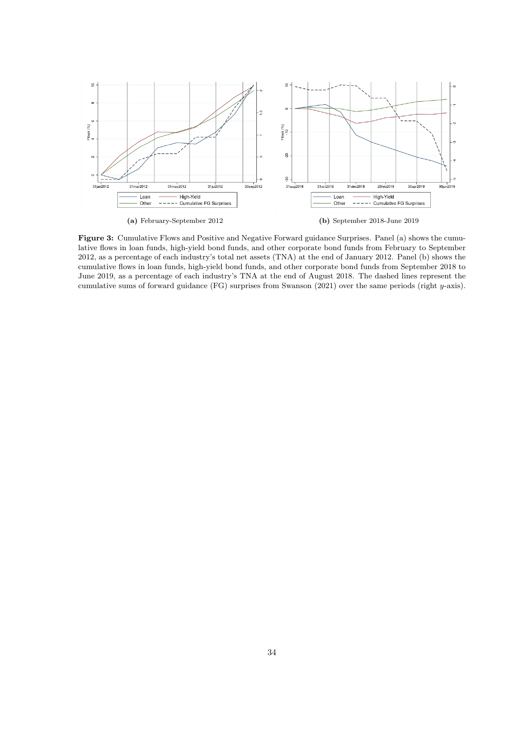

(a) February-September 2012 (b) September 2018-June 2019

Figure 3: Cumulative Flows and Positive and Negative Forward guidance Surprises. Panel (a) shows the cumulative flows in loan funds, high-yield bond funds, and other corporate bond funds from February to September 2012, as a percentage of each industry's total net assets (TNA) at the end of January 2012. Panel (b) shows the cumulative flows in loan funds, high-yield bond funds, and other corporate bond funds from September 2018 to June 2019, as a percentage of each industry's TNA at the end of August 2018. The dashed lines represent the cumulative sums of forward guidance (FG) surprises from Swanson (2021) over the same periods (right y-axis).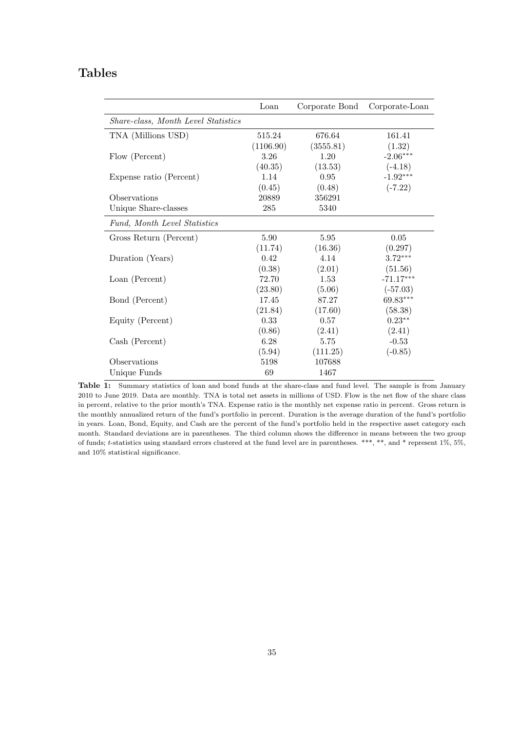# Tables

|                                     | Loan      | Corporate Bond | Corporate-Loan |
|-------------------------------------|-----------|----------------|----------------|
| Share-class, Month Level Statistics |           |                |                |
| TNA (Millions USD)                  | 515.24    | 676.64         | 161.41         |
|                                     | (1106.90) | (3555.81)      | (1.32)         |
| Flow (Percent)                      | 3.26      | 1.20           | $-2.06***$     |
|                                     | (40.35)   | (13.53)        | $(-4.18)$      |
| Expense ratio (Percent)             | 1.14      | 0.95           | $-1.92***$     |
|                                     | (0.45)    | (0.48)         | $(-7.22)$      |
| Observations                        | 20889     | 356291         |                |
| Unique Share-classes                | 285       | 5340           |                |
| Fund, Month Level Statistics        |           |                |                |
| Gross Return (Percent)              | 5.90      | 5.95           | 0.05           |
|                                     | (11.74)   | (16.36)        | (0.297)        |
| Duration (Years)                    | 0.42      | 4.14           | $3.72***$      |
|                                     | (0.38)    | (2.01)         | (51.56)        |
| Loan (Percent)                      | 72.70     | 1.53           | $-71.17***$    |
|                                     | (23.80)   | (5.06)         | $(-57.03)$     |
| Bond (Percent)                      | 17.45     | 87.27          | 69.83***       |
|                                     | (21.84)   | (17.60)        | (58.38)        |
| Equity (Percent)                    | 0.33      | 0.57           | $0.23**$       |
|                                     | (0.86)    | (2.41)         | (2.41)         |
| Cash (Percent)                      | 6.28      | 5.75           | $-0.53$        |
|                                     | (5.94)    | (111.25)       | $(-0.85)$      |
| Observations                        | 5198      | 107688         |                |
| Unique Funds                        | 69        | 1467           |                |

Table 1: Summary statistics of loan and bond funds at the share-class and fund level. The sample is from January 2010 to June 2019. Data are monthly. TNA is total net assets in millions of USD. Flow is the net flow of the share class in percent, relative to the prior month's TNA. Expense ratio is the monthly net expense ratio in percent. Gross return is the monthly annualized return of the fund's portfolio in percent. Duration is the average duration of the fund's portfolio in years. Loan, Bond, Equity, and Cash are the percent of the fund's portfolio held in the respective asset category each month. Standard deviations are in parentheses. The third column shows the difference in means between the two group of funds; t-statistics using standard errors clustered at the fund level are in parentheses. \*\*\*, \*\*, and \* represent 1%, 5%, and 10% statistical significance.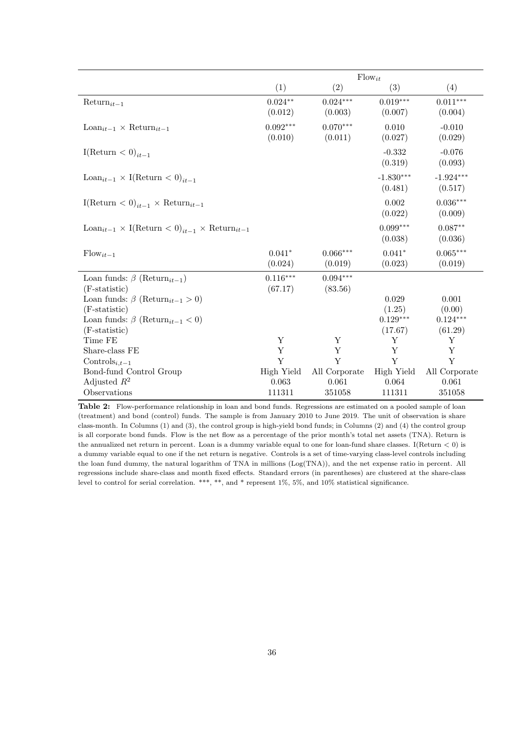|                                                                               |                       | $Flow_{it}$           |                        |                        |
|-------------------------------------------------------------------------------|-----------------------|-----------------------|------------------------|------------------------|
|                                                                               | (1)                   | (2)                   | (3)                    | (4)                    |
| $Return_{it-1}$                                                               | $0.024**$<br>(0.012)  | $0.024***$<br>(0.003) | $0.019***$<br>(0.007)  | $0.011***$<br>(0.004)  |
| $\text{Loan}_{it-1} \times \text{Return}_{it-1}$                              | $0.092***$<br>(0.010) | $0.070***$<br>(0.011) | 0.010<br>(0.027)       | $-0.010$<br>(0.029)    |
| I(Return $\lt 0$ ) <sub>it-1</sub>                                            |                       |                       | $-0.332$<br>(0.319)    | $-0.076$<br>(0.093)    |
| Loan <sub>it-1</sub> $\times$ I(Return $\lt 0$ ) <sub>it-1</sub>              |                       |                       | $-1.830***$<br>(0.481) | $-1.924***$<br>(0.517) |
| I(Return $\langle 0 \rangle_{it-1} \times \text{Return}_{it-1}$               |                       |                       | 0.002<br>(0.022)       | $0.036***$<br>(0.009)  |
| Loan <sub>it-1</sub> × I(Return < 0) <sub>it-1</sub> × Return <sub>it-1</sub> |                       |                       | $0.099***$<br>(0.038)  | $0.087**$<br>(0.036)   |
| $Flow_{it-1}$                                                                 | $0.041*$<br>(0.024)   | $0.066***$<br>(0.019) | $0.041*$<br>(0.023)    | $0.065***$<br>(0.019)  |
| Loan funds: $\beta$ (Return <sub>it-1</sub> )                                 | $0.116***$            | $0.094***$            |                        |                        |
| $(F-statistic)$                                                               | (67.17)               | (83.56)               |                        |                        |
| Loan funds: $\beta$ (Return <sub>it-1</sub> > 0)                              |                       |                       | 0.029                  | 0.001                  |
| $(F-statistic)$                                                               |                       |                       | (1.25)                 | (0.00)                 |
| Loan funds: $\beta$ (Return <sub>it-1</sub> < 0)                              |                       |                       | $0.129***$             | $0.124***$             |
| $(F-statistic)$                                                               |                       |                       | (17.67)                | (61.29)                |
| Time FE                                                                       | Y                     | Y                     | Υ                      | Y                      |
| Share-class FE                                                                | $\mathbf Y$           | Y                     | Y                      | Y                      |
| Controls <sub>i.t-1</sub>                                                     | Y                     | Y                     | Y                      | Y                      |
| Bond-fund Control Group                                                       | High Yield            | All Corporate         | High Yield             | All Corporate          |
| Adjusted $R^2$                                                                | 0.063                 | 0.061                 | 0.064                  | 0.061                  |
| Observations                                                                  | 111311                | 351058                | 111311                 | 351058                 |

Table 2: Flow-performance relationship in loan and bond funds. Regressions are estimated on a pooled sample of loan (treatment) and bond (control) funds. The sample is from January 2010 to June 2019. The unit of observation is share class-month. In Columns (1) and (3), the control group is high-yield bond funds; in Columns (2) and (4) the control group is all corporate bond funds. Flow is the net flow as a percentage of the prior month's total net assets (TNA). Return is the annualized net return in percent. Loan is a dummy variable equal to one for loan-fund share classes. I(Return  $<$  0) is a dummy variable equal to one if the net return is negative. Controls is a set of time-varying class-level controls including the loan fund dummy, the natural logarithm of TNA in millions (Log(TNA)), and the net expense ratio in percent. All regressions include share-class and month fixed effects. Standard errors (in parentheses) are clustered at the share-class level to control for serial correlation. \*\*\*, \*\*, and \* represent 1%, 5%, and 10% statistical significance.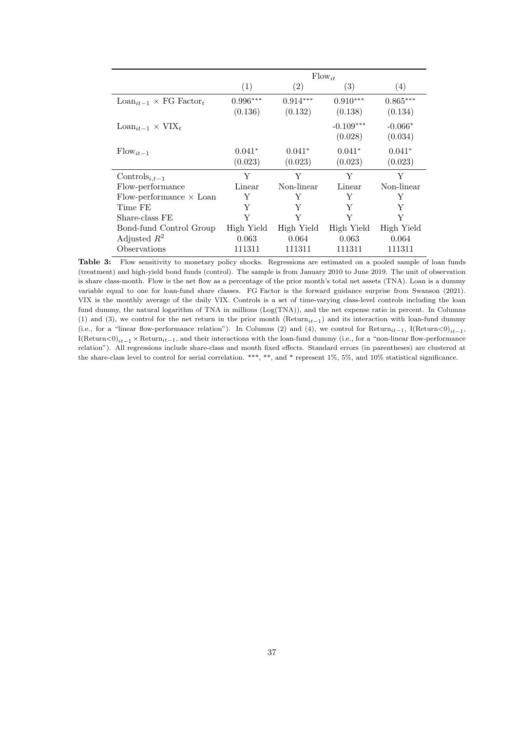|                                                |                       |                       | $Flow_{it}$            |                       |
|------------------------------------------------|-----------------------|-----------------------|------------------------|-----------------------|
|                                                | (1)                   | $\left( 2\right)$     | (3)                    | $\left( 4\right)$     |
| $\text{Loan}_{it-1} \times \text{FG Factor}_t$ | $0.996***$<br>(0.136) | $0.914***$<br>(0.132) | $0.910***$<br>(0.138)  | $0.865***$<br>(0.134) |
| $\text{Loan}_{it-1} \times \text{VIX}_t$       |                       |                       | $-0.109***$<br>(0.028) | $-0.066*$<br>(0.034)  |
| $Flow_{it-1}$                                  | $0.041*$<br>(0.023)   | $0.041*$<br>(0.023)   | $0.041*$<br>(0.023)    | $0.041*$<br>(0.023)   |
| Controls <sub>i.t-1</sub>                      | Y                     | Y                     | Y                      | Y                     |
| Flow-performance                               | Linear                | Non-linear            | Linear                 | Non-linear            |
| Flow-performance $\times$ Loan                 | Y                     | Y                     | Y                      | Y                     |
| Time FE                                        | Y                     | Y                     | Y                      | Y                     |
| Share-class FE                                 | Y                     | Y                     | Y                      | Y                     |
| Bond-fund Control Group                        | High Yield            | High Yield            | High Yield             | High Yield            |
| Adjusted $R^2$                                 | 0.063                 | 0.064                 | 0.063                  | 0.064                 |
| Observations                                   | 111311                | 111311                | 111311                 | 111311                |

Table 3: Flow sensitivity to monetary policy shocks. Regressions are estimated on a pooled sample of loan funds (treatment) and high-yield bond funds (control). The sample is from January 2010 to June 2019. The unit of observation is share class-month. Flow is the net flow as a percentage of the prior month's total net assets (TNA). Loan is a dummy variable equal to one for loan-fund share classes. FG Factor is the forward guidance surprise from Swanson (2021). VIX is the monthly average of the daily VIX. Controls is a set of time-varying class-level controls including the loan fund dummy, the natural logarithm of TNA in millions (Log(TNA)), and the net expense ratio in percent. In Columns (1) and (3), we control for the net return in the prior month (Return<sub>it</sub> $-1$ ) and its interaction with loan-fund dummy (i.e., for a "linear flow-performance relation"). In Columns (2) and (4), we control for  $Return_{it-1}$ , I(Return<0)<sub>it−1</sub>,  $I(Return < 0)_{it-1} \times Return_{it-1}$ , and their interactions with the loan-fund dummy (i.e., for a "non-linear flow-performance relation"). All regressions include share-class and month fixed effects. Standard errors (in parentheses) are clustered at the share-class level to control for serial correlation. \*\*\*, \*\*, and \* represent 1%, 5%, and 10% statistical significance.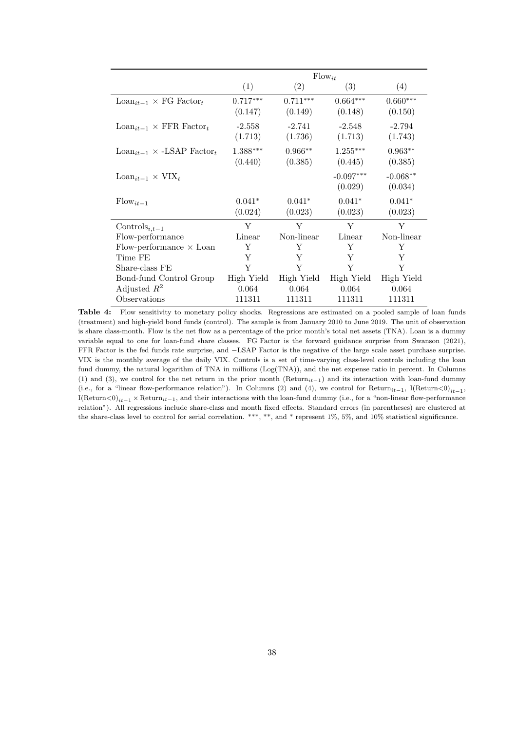|                                                   |                       |                       | $Flow_{it}$            |                       |
|---------------------------------------------------|-----------------------|-----------------------|------------------------|-----------------------|
|                                                   | (1)                   | (2)                   | (3)                    | (4)                   |
| $\text{Loan}_{it-1} \times \text{FG Factor}_{t}$  | $0.717***$<br>(0.147) | $0.711***$<br>(0.149) | $0.664***$<br>(0.148)  | $0.660***$<br>(0.150) |
| $\text{Loan}_{it-1} \times \text{FFR Factor}_{t}$ | $-2.558$<br>(1.713)   | $-2.741$<br>(1.736)   | $-2.548$<br>(1.713)    | $-2.794$<br>(1.743)   |
| $\text{Loan}_{it-1} \times \text{-LSAP Factor}_t$ | $1.388***$<br>(0.440) | $0.966**$<br>(0.385)  | $1.255***$<br>(0.445)  | $0.963**$<br>(0.385)  |
| $\text{Loan}_{it-1} \times \text{VIX}_t$          |                       |                       | $-0.097***$<br>(0.029) | $-0.068**$<br>(0.034) |
| $Flow_{it-1}$                                     | $0.041*$<br>(0.024)   | $0.041*$<br>(0.023)   | $0.041*$<br>(0.023)    | $0.041*$<br>(0.023)   |
| Controls <sub>i.t-1</sub>                         | Y                     | Y                     | Y                      | Y                     |
| Flow-performance                                  | Linear                | Non-linear            | Linear                 | Non-linear            |
| Flow-performance $\times$ Loan                    | Y                     | Y                     | Y                      | Y                     |
| Time FE                                           | Y                     | Y                     | Y                      | Y                     |
| Share-class FE                                    | Y                     | Y                     | Y                      | Y                     |
| Bond-fund Control Group                           | High Yield            | High Yield            | High Yield             | High Yield            |
| Adjusted $R^2$                                    | 0.064                 | 0.064                 | 0.064                  | 0.064                 |
| Observations                                      | 111311                | 111311                | 111311                 | 111311                |

Table 4: Flow sensitivity to monetary policy shocks. Regressions are estimated on a pooled sample of loan funds (treatment) and high-yield bond funds (control). The sample is from January 2010 to June 2019. The unit of observation is share class-month. Flow is the net flow as a percentage of the prior month's total net assets (TNA). Loan is a dummy variable equal to one for loan-fund share classes. FG Factor is the forward guidance surprise from Swanson (2021), FFR Factor is the fed funds rate surprise, and −LSAP Factor is the negative of the large scale asset purchase surprise. VIX is the monthly average of the daily VIX. Controls is a set of time-varying class-level controls including the loan fund dummy, the natural logarithm of TNA in millions (Log(TNA)), and the net expense ratio in percent. In Columns (1) and (3), we control for the net return in the prior month (Return<sub>it</sub> $-1$ ) and its interaction with loan-fund dummy (i.e., for a "linear flow-performance relation"). In Columns (2) and (4), we control for  $Return_{it-1}$ , I(Return<0)<sub>it−1</sub>, I(Return<0)<sub>it−1</sub> × Return<sub>it−1</sub>, and their interactions with the loan-fund dummy (i.e., for a "non-linear flow-performance relation"). All regressions include share-class and month fixed effects. Standard errors (in parentheses) are clustered at the share-class level to control for serial correlation. \*\*\*, \*\*, and \* represent 1%, 5%, and 10% statistical significance.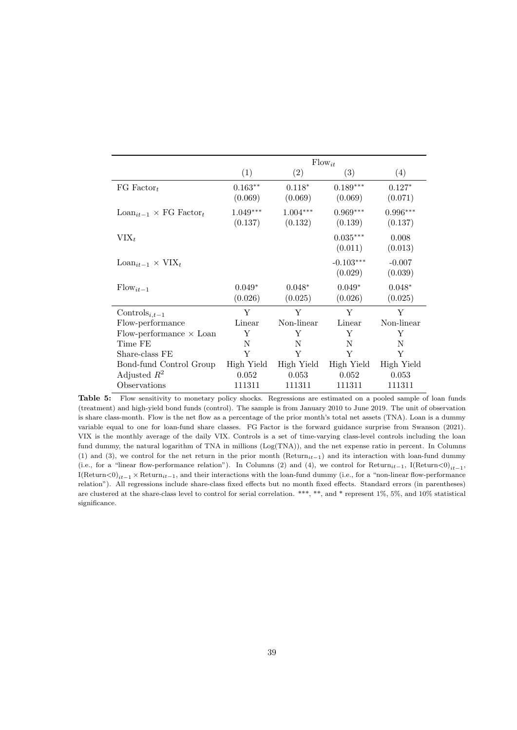|                                                  |                       |                       | $Flow_{it}$            |                       |
|--------------------------------------------------|-----------------------|-----------------------|------------------------|-----------------------|
|                                                  | (1)                   | (2)                   | (3)                    | (4)                   |
| FG Factor <sub>t</sub>                           | $0.163**$<br>(0.069)  | $0.118*$<br>(0.069)   | $0.189***$<br>(0.069)  | $0.127*$<br>(0.071)   |
| $\text{Loan}_{it-1} \times \text{FG Factor}_{t}$ | $1.049***$<br>(0.137) | $1.004***$<br>(0.132) | $0.969***$<br>(0.139)  | $0.996***$<br>(0.137) |
| $VIX_t$                                          |                       |                       | $0.035***$<br>(0.011)  | 0.008<br>(0.013)      |
| $\text{Loan}_{it-1} \times \text{VIX}_t$         |                       |                       | $-0.103***$<br>(0.029) | $-0.007$<br>(0.039)   |
| $Flow_{it-1}$                                    | $0.049*$<br>(0.026)   | $0.048*$<br>(0.025)   | $0.049*$<br>(0.026)    | $0.048*$<br>(0.025)   |
| Controls <sub>i,t-1</sub>                        | Y                     | Y                     | Y                      | Y                     |
| Flow-performance                                 | Linear                | Non-linear            | Linear                 | Non-linear            |
| Flow-performance $\times$ Loan                   | Υ                     | Y                     | Y                      | Y                     |
| Time FE                                          | N                     | N                     | N                      | N                     |
| Share-class FE                                   | Y                     | Y                     | Y                      | Y                     |
| Bond-fund Control Group                          | High Yield            | High Yield            | High Yield             | High Yield            |
| Adjusted $R^2$                                   | 0.052                 | 0.053                 | 0.052                  | 0.053                 |
| Observations                                     | 111311                | 111311                | 111311                 | 111311                |

Table 5: Flow sensitivity to monetary policy shocks. Regressions are estimated on a pooled sample of loan funds (treatment) and high-yield bond funds (control). The sample is from January 2010 to June 2019. The unit of observation is share class-month. Flow is the net flow as a percentage of the prior month's total net assets (TNA). Loan is a dummy variable equal to one for loan-fund share classes. FG Factor is the forward guidance surprise from Swanson (2021). VIX is the monthly average of the daily VIX. Controls is a set of time-varying class-level controls including the loan fund dummy, the natural logarithm of TNA in millions (Log(TNA)), and the net expense ratio in percent. In Columns (1) and (3), we control for the net return in the prior month (Return<sub>it</sub> $-1$ ) and its interaction with loan-fund dummy (i.e., for a "linear flow-performance relation"). In Columns (2) and (4), we control for  $Return_{it-1}$ , I(Return<0)<sub>it−1</sub>, I(Return<0)<sub>it−1</sub> × Return<sub>it−1</sub>, and their interactions with the loan-fund dummy (i.e., for a "non-linear flow-performance relation"). All regressions include share-class fixed effects but no month fixed effects. Standard errors (in parentheses) are clustered at the share-class level to control for serial correlation. \*\*\*, \*\*, and \* represent 1%, 5%, and 10% statistical significance.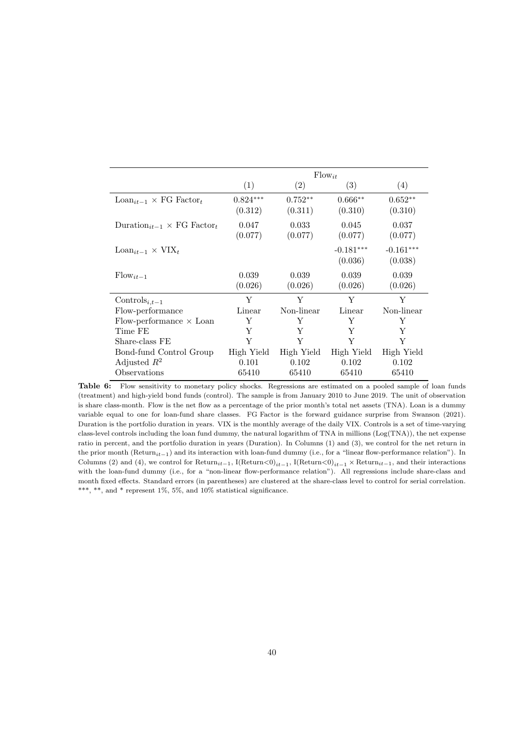|                                                          |                       |                      | $Flow_{it}$            |                        |
|----------------------------------------------------------|-----------------------|----------------------|------------------------|------------------------|
|                                                          | (1)                   | (2)                  | (3)                    | (4)                    |
| $\text{Loan}_{it-1} \times \text{FG Factor}_t$           | $0.824***$<br>(0.312) | $0.752**$<br>(0.311) | $0.666**$<br>(0.310)   | $0.652**$<br>(0.310)   |
| Duration <sub>it-1</sub> $\times$ FG Factor <sub>t</sub> | 0.047<br>(0.077)      | 0.033<br>(0.077)     | 0.045<br>(0.077)       | 0.037<br>(0.077)       |
| $\text{Loan}_{it-1} \times \text{VIX}_t$                 |                       |                      | $-0.181***$<br>(0.036) | $-0.161***$<br>(0.038) |
| $Flow_{it-1}$                                            | 0.039<br>(0.026)      | 0.039<br>(0.026)     | 0.039<br>(0.026)       | 0.039<br>(0.026)       |
| Controls <sub>i,t-1</sub>                                | Y                     | Y                    | Y                      | Y                      |
| Flow-performance                                         | Linear                | Non-linear           | Linear                 | Non-linear             |
| Flow-performance $\times$ Loan                           | Y                     | Y                    | Y                      | Y                      |
| Time FE                                                  | Y                     | Y                    | Y                      | Y                      |
| Share-class FE                                           | Y                     | Y                    | Y                      | Y                      |
| Bond-fund Control Group                                  | High Yield            | High Yield           | High Yield             | High Yield             |
| Adjusted $R^2$                                           | 0.101                 | 0.102                | 0.102                  | 0.102                  |
| Observations                                             | 65410                 | 65410                | 65410                  | 65410                  |

Table 6: Flow sensitivity to monetary policy shocks. Regressions are estimated on a pooled sample of loan funds (treatment) and high-yield bond funds (control). The sample is from January 2010 to June 2019. The unit of observation is share class-month. Flow is the net flow as a percentage of the prior month's total net assets (TNA). Loan is a dummy variable equal to one for loan-fund share classes. FG Factor is the forward guidance surprise from Swanson (2021). Duration is the portfolio duration in years. VIX is the monthly average of the daily VIX. Controls is a set of time-varying class-level controls including the loan fund dummy, the natural logarithm of TNA in millions (Log(TNA)), the net expense ratio in percent, and the portfolio duration in years (Duration). In Columns (1) and (3), we control for the net return in the prior month (Return<sub>it−1</sub>) and its interaction with loan-fund dummy (i.e., for a "linear flow-performance relation"). In Columns (2) and (4), we control for Return<sub>it−1</sub>, I(Return<0)<sub>it−1</sub>, I(Return<0)<sub>it−1</sub> × Return<sub>it−1</sub>, and their interactions with the loan-fund dummy (i.e., for a "non-linear flow-performance relation"). All regressions include share-class and month fixed effects. Standard errors (in parentheses) are clustered at the share-class level to control for serial correlation. \*\*\*, \*\*, and \* represent 1%, 5%, and 10% statistical significance.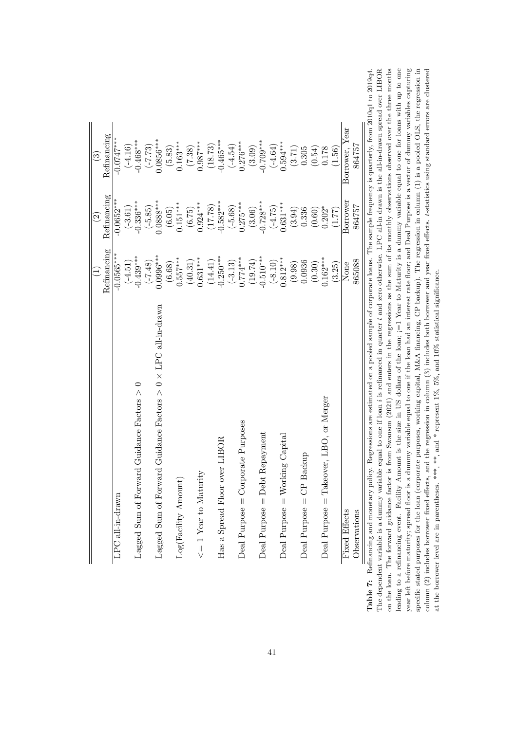|                                                                                                                                                    |              | $\widehat{c}$ | $\odot$                 |  |
|----------------------------------------------------------------------------------------------------------------------------------------------------|--------------|---------------|-------------------------|--|
|                                                                                                                                                    | Refinancing  | Refinancing   | Refinancing             |  |
| LPC all-in-drawn                                                                                                                                   | $-0.0565***$ | $-0.0652***$  | $-0.0747***$            |  |
|                                                                                                                                                    | $(-4.51)$    | $(-3.61)$     | $(-4.16)$               |  |
| Lagged Sum of Forward Guidance Factors $>0$                                                                                                        | $-0.439***$  | $-0.336***$   | $-0.468***$             |  |
|                                                                                                                                                    | $(64.7-)$    | $(-5.85)$     | $(-7.73)$               |  |
| Lagged Sum of Forward Guidance Factors $> 0 \times \text{LPC}$ all-in-drawn                                                                        | $0.0996***$  | $0.0888***$   | 0.0856***               |  |
|                                                                                                                                                    | (6.68)       | (6.05)        | $(5.83)$                |  |
| Log(Facility Amount                                                                                                                                | $0.557***$   | $0.151***$    | $0.163***$              |  |
|                                                                                                                                                    | $(40.31)$    | (6.75)        | (7.38)                  |  |
| $\leq$ = 1 Year to Maturity                                                                                                                        | $0.631***$   | $0.924***$    | $0.987***$              |  |
|                                                                                                                                                    | (14.41)      | (17.78)       | (18.73)                 |  |
| Has a Spread Floor over LIBOR                                                                                                                      | $-0.250***$  | $-0.582***$   | $-0.465***$             |  |
|                                                                                                                                                    | $(-3.13)$    | $(-5.68)$     | $(-4.54)$               |  |
| Deal Purpose $=$ Corporate Purposes                                                                                                                | $0.774***$   | $0.275***$    | $0.276***$              |  |
|                                                                                                                                                    | (19.74)      | (3.06)        | $(3.09)$<br>$-0.709***$ |  |
| Deal Purpose = Debt Repayment                                                                                                                      | $-0.510***$  | $-0.728***$   |                         |  |
|                                                                                                                                                    | $(-8.10)$    | $(-4.75)$     | $(-4.64)$               |  |
| king Capital<br>$\text{Deal Purpose} = \text{Wor}$                                                                                                 | $0.812***$   | $0.631***$    | $0.594***$              |  |
|                                                                                                                                                    | (9.98)       | (3.94)        | (3.71)                  |  |
| Backup<br>Deal Purpose $=$ CP                                                                                                                      | 0.0936       | 0.336         | 0.305                   |  |
|                                                                                                                                                    | (0.30)       | (0.60)        | (0.54)                  |  |
| Deal Purpose = Takeover, LBO, or Merger                                                                                                            | $0.162***$   | $0.202*$      | 0.178                   |  |
|                                                                                                                                                    | (3.25)       | (1.77)        | (1.56)                  |  |
| Fixed Effects                                                                                                                                      | None         | Borrower      | Borrower, Year          |  |
| Observations                                                                                                                                       | 865088       | 864757        | 864757                  |  |
| inancing and monetary policy. Regressions are estimated on a pooled sample of corporate loans. The sample frequency is quarterly, from 2010q1 to 2 |              |               |                         |  |

The dependent variable is a dummy variable equal to one if loan  $i$  is refinanced in quarter  $t$  and zero otherwise. LPC all-in drawn is the all-in-drawn spread over LIBOR on the loan. The forward guidance factor is from Swanson (2021) and enters in the regressions as the sum of its monthly observations observed over the three months leading to a refinancing event. Facility Amount is the size in US dollars of the loan; j=1 Year to Maturity is a dummy variable equal to one for loans with up to one year left before maturity; spread floor is a dummy variable equal to one if the loan had an interest rate floor; and Deal Purpose is a vector of dummy variables capturing specific stated purposes for the loan (corporate purposes, working capital, M&A financing, CP backup). The regression in column (1) is a pooled OLS, the regression in 2019q4. column (2) includes borrower fixed effects, and the regression in column (3) includes both borrower and year fixed effects. t-statistics using standard errors are clustered Table 7: Refinancing and monetary policy. Regressions are estimated on a pooled sample of corporate loans. The sample frequency is quarterly, from 2010q1 to 2019q4. The dependent variable is a dummy variable equal to one if loan i is refinanced in quarter t and zero otherwise. LPC all-in drawn is the all-in-drawn spread over LIBOR on the loan. The forward guidance factor is from Swanson (2021) and enters in the regressions as the sum of its monthly observations observed over the three months leading to a refinancing event. Facility Amount is the size in US dollars of the loan; ¡=1 Year to Maturity is a dummy variable equal to one for loans with up to one year left before maturity; spread floor is a dummy variable equal to one if the loan had an interest rate floor; and Deal Purpose is a vector of dummy variables capturing specific stated purposes for the loan (corporate purposes, working capital, M&A financing, CP backup). The regression in column (1) is a pooled OLS, the regression in column (2) includes borrower fixed effects, and the regression in column (3) includes both borrower and year fixed effects. t-statistics using standard errors are clustered at the borrower level are in parentheses. \*\*\*, \*\* , and \* represent 1%, 5%, and 10% statistical significance. at the borrower level are in parentheses. \*\*\*, \*\*, and \* represent  $1\%, 5\%,$  and  $10\%$  statistical significance. Table 7: Refi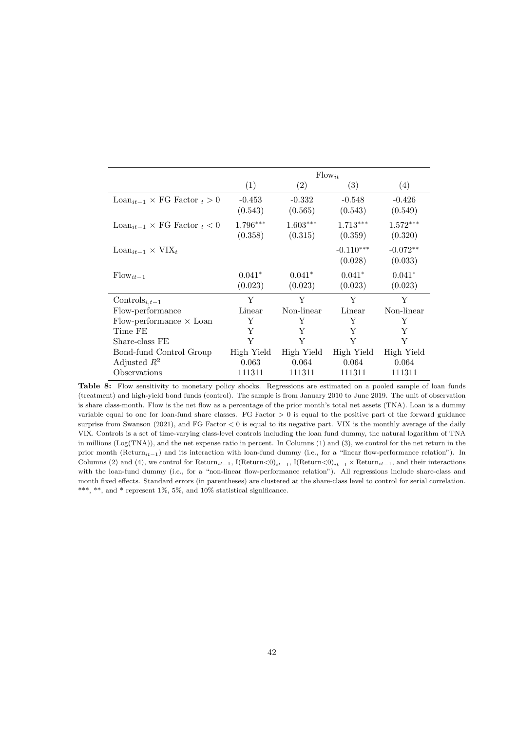|                                                      |                     |                       | $Flow_{it}$            |                       |
|------------------------------------------------------|---------------------|-----------------------|------------------------|-----------------------|
|                                                      | (1)                 | (2)                   | (3)                    | (4)                   |
| $\text{Loan}_{it-1} \times \text{FG Factor}_{t} > 0$ | $-0.453$<br>(0.543) | $-0.332$<br>(0.565)   | $-0.548$<br>(0.543)    | $-0.426$<br>(0.549)   |
| $\text{Loan}_{it-1} \times \text{FG Factor}_{t} < 0$ | 1.796***<br>(0.358) | $1.603***$<br>(0.315) | $1.713***$<br>(0.359)  | $1.572***$<br>(0.320) |
| $\text{Loan}_{it-1} \times \text{VIX}_t$             |                     |                       | $-0.110***$<br>(0.028) | $-0.072**$<br>(0.033) |
| $Flow_{it-1}$                                        | $0.041*$<br>(0.023) | $0.041*$<br>(0.023)   | $0.041*$<br>(0.023)    | $0.041*$<br>(0.023)   |
| Controls <sub>i,t-1</sub>                            | Y                   | Y                     | Y                      | Y                     |
| Flow-performance                                     | Linear              | Non-linear            | Linear                 | Non-linear            |
| Flow-performance $\times$ Loan                       | Y                   | Y                     | Y                      | Y                     |
| Time FE                                              | Y                   | Y                     | Y                      | Y                     |
| Share-class FE                                       | Y                   | Y                     | Y                      | Y                     |
| Bond-fund Control Group                              | High Yield          | High Yield            | High Yield             | High Yield            |
| Adjusted $R^2$                                       | 0.063               | 0.064                 | 0.064                  | 0.064                 |
| Observations                                         | 111311              | 111311                | 111311                 | 111311                |

Table 8: Flow sensitivity to monetary policy shocks. Regressions are estimated on a pooled sample of loan funds (treatment) and high-yield bond funds (control). The sample is from January 2010 to June 2019. The unit of observation is share class-month. Flow is the net flow as a percentage of the prior month's total net assets (TNA). Loan is a dummy variable equal to one for loan-fund share classes. FG Factor  $> 0$  is equal to the positive part of the forward guidance surprise from Swanson (2021), and FG Factor < 0 is equal to its negative part. VIX is the monthly average of the daily VIX. Controls is a set of time-varying class-level controls including the loan fund dummy, the natural logarithm of TNA in millions (Log(TNA)), and the net expense ratio in percent. In Columns (1) and (3), we control for the net return in the prior month (Return<sub>it</sub><sub>-1</sub>) and its interaction with loan-fund dummy (i.e., for a "linear flow-performance relation"). In Columns (2) and (4), we control for Return<sub>it−1</sub>, I(Return<0)<sub>it−1</sub>, I(Return<0)<sub>it−1</sub> × Return<sub>it−1</sub>, and their interactions with the loan-fund dummy (i.e., for a "non-linear flow-performance relation"). All regressions include share-class and month fixed effects. Standard errors (in parentheses) are clustered at the share-class level to control for serial correlation. \*\*\*, \*\*, and \* represent 1%, 5%, and 10% statistical significance.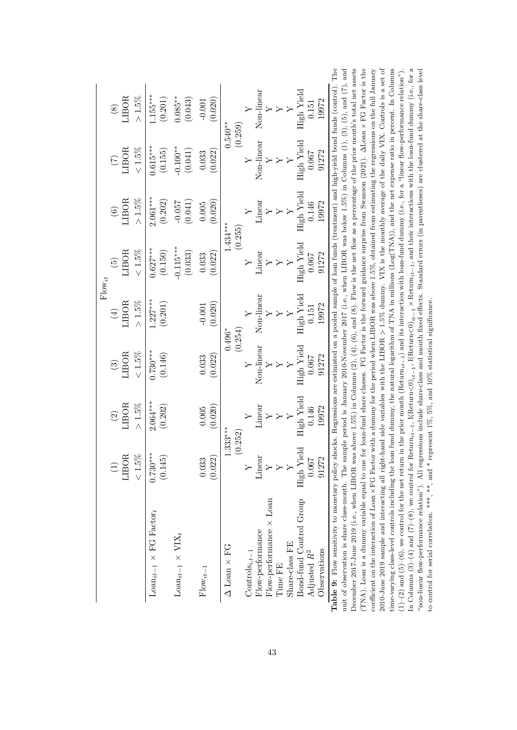| High Yield<br>Non-linear<br>$1.155***$<br>$>1.5\%$<br>LIBOR<br>$0.085***$<br>(0.043)<br>(0.201)<br>(0.020)<br>19972<br>$-0.001$<br>0.151<br>$\circledast$<br>(0.259)<br>$0.540***$<br>Non-linear<br>High Yield<br>$0.615***$<br>$-0.100**$<br>${}_{<}1.5\%$<br>LIBOR<br>(0.041)<br>(0.155)<br>(0.022)<br>91272<br>0.067<br>0.033<br>$\triangleright$<br>High Yield<br>$2.061***$<br>$>1.5\%$<br>LIBOR<br>(0.202)<br>(0.041)<br>(0.020)<br>19972<br>Linear<br>$-0.057$<br>0.146<br>0.005<br>$\widehat{\mathbf{e}}$<br>$\ddot{\phantom{1}}$<br>$\rightarrow$<br>$1.434***$<br>(0.255)<br>High Yield<br>$-0.115***$<br>$0.627***$<br>$<1.5\%$<br>LIBOR<br>(0.150)<br>(0.033)<br>Linear<br>(0.022)<br>91272<br>0.067<br>0.033<br>$\widehat{\mathfrak{G}}$<br>$\geq$<br>$Flow_{it}$<br>High Yield<br>Non-linear<br>$1.227***$<br>> 1.5%<br>LIBOR<br>(0.201)<br>(0.020)<br>19972<br>$-0.001$<br>0.151<br>$(\pm)$<br>$\mathbf{y}$<br>$\triangleright$<br>(0.254)<br>$0.496*$<br>Non-linear<br>High Yield<br>$0.730***$<br>$<1.5\%$<br>LIBOR<br>(0.146)<br>(0.022)<br>91272<br>0.067<br>0.033<br>$\odot$<br>$\mathsf{Y}$<br>$\triangleright$<br>High Yield<br>$2.064***$<br>$>1.5\%$<br>LIBOR<br>(0.202)<br>(0.020)<br>$\rm Linear$<br>19972<br>0.146<br>0.005<br>$\widehat{c}$<br>$\geq$<br>$1.333***$<br>(0.252)<br>High Yield<br>$0.730***$<br>LIBOR<br>$<1.5\%$<br>(0.145)<br>0.033<br>(0.022)<br>$\lim$ ear<br>0.067<br>91272<br>$\overline{Y}$<br>Bond-fund Control Group<br>Flow-performance $\times$ Loan<br>Loan <sub>it-1</sub> $\times$ FG Factor <sub>t</sub><br>Flow-performance<br>Loan <sub>it-1</sub> $\times$ VIX <sub>t</sub><br>Share-class FE<br>$\Delta$ Loan $\times$ FG<br>Observations<br>$\text{Controls}_{i,t-1}$<br>Adjusted $R^2$<br>Time FE<br>$Flow_{it-1}$ |  |                                                                                                                  |  |                                                                                                                                                                                                                                                                                                                                                                                                                                                                                                                                                                                                                                                                                                                                                                                                                                                                                                                                                                                                                                                                                                                                                                                                                                                                                                                          |
|-----------------------------------------------------------------------------------------------------------------------------------------------------------------------------------------------------------------------------------------------------------------------------------------------------------------------------------------------------------------------------------------------------------------------------------------------------------------------------------------------------------------------------------------------------------------------------------------------------------------------------------------------------------------------------------------------------------------------------------------------------------------------------------------------------------------------------------------------------------------------------------------------------------------------------------------------------------------------------------------------------------------------------------------------------------------------------------------------------------------------------------------------------------------------------------------------------------------------------------------------------------------------------------------------------------------------------------------------------------------------------------------------------------------------------------------------------------------------------------------------------------------------------------------------------------------------------------------------------------------------------------------------------------------------------------------------------------------------------------------------------------------------------------|--|------------------------------------------------------------------------------------------------------------------|--|--------------------------------------------------------------------------------------------------------------------------------------------------------------------------------------------------------------------------------------------------------------------------------------------------------------------------------------------------------------------------------------------------------------------------------------------------------------------------------------------------------------------------------------------------------------------------------------------------------------------------------------------------------------------------------------------------------------------------------------------------------------------------------------------------------------------------------------------------------------------------------------------------------------------------------------------------------------------------------------------------------------------------------------------------------------------------------------------------------------------------------------------------------------------------------------------------------------------------------------------------------------------------------------------------------------------------|
|                                                                                                                                                                                                                                                                                                                                                                                                                                                                                                                                                                                                                                                                                                                                                                                                                                                                                                                                                                                                                                                                                                                                                                                                                                                                                                                                                                                                                                                                                                                                                                                                                                                                                                                                                                                   |  |                                                                                                                  |  |                                                                                                                                                                                                                                                                                                                                                                                                                                                                                                                                                                                                                                                                                                                                                                                                                                                                                                                                                                                                                                                                                                                                                                                                                                                                                                                          |
|                                                                                                                                                                                                                                                                                                                                                                                                                                                                                                                                                                                                                                                                                                                                                                                                                                                                                                                                                                                                                                                                                                                                                                                                                                                                                                                                                                                                                                                                                                                                                                                                                                                                                                                                                                                   |  |                                                                                                                  |  |                                                                                                                                                                                                                                                                                                                                                                                                                                                                                                                                                                                                                                                                                                                                                                                                                                                                                                                                                                                                                                                                                                                                                                                                                                                                                                                          |
|                                                                                                                                                                                                                                                                                                                                                                                                                                                                                                                                                                                                                                                                                                                                                                                                                                                                                                                                                                                                                                                                                                                                                                                                                                                                                                                                                                                                                                                                                                                                                                                                                                                                                                                                                                                   |  |                                                                                                                  |  |                                                                                                                                                                                                                                                                                                                                                                                                                                                                                                                                                                                                                                                                                                                                                                                                                                                                                                                                                                                                                                                                                                                                                                                                                                                                                                                          |
|                                                                                                                                                                                                                                                                                                                                                                                                                                                                                                                                                                                                                                                                                                                                                                                                                                                                                                                                                                                                                                                                                                                                                                                                                                                                                                                                                                                                                                                                                                                                                                                                                                                                                                                                                                                   |  |                                                                                                                  |  |                                                                                                                                                                                                                                                                                                                                                                                                                                                                                                                                                                                                                                                                                                                                                                                                                                                                                                                                                                                                                                                                                                                                                                                                                                                                                                                          |
|                                                                                                                                                                                                                                                                                                                                                                                                                                                                                                                                                                                                                                                                                                                                                                                                                                                                                                                                                                                                                                                                                                                                                                                                                                                                                                                                                                                                                                                                                                                                                                                                                                                                                                                                                                                   |  |                                                                                                                  |  |                                                                                                                                                                                                                                                                                                                                                                                                                                                                                                                                                                                                                                                                                                                                                                                                                                                                                                                                                                                                                                                                                                                                                                                                                                                                                                                          |
|                                                                                                                                                                                                                                                                                                                                                                                                                                                                                                                                                                                                                                                                                                                                                                                                                                                                                                                                                                                                                                                                                                                                                                                                                                                                                                                                                                                                                                                                                                                                                                                                                                                                                                                                                                                   |  |                                                                                                                  |  |                                                                                                                                                                                                                                                                                                                                                                                                                                                                                                                                                                                                                                                                                                                                                                                                                                                                                                                                                                                                                                                                                                                                                                                                                                                                                                                          |
|                                                                                                                                                                                                                                                                                                                                                                                                                                                                                                                                                                                                                                                                                                                                                                                                                                                                                                                                                                                                                                                                                                                                                                                                                                                                                                                                                                                                                                                                                                                                                                                                                                                                                                                                                                                   |  |                                                                                                                  |  |                                                                                                                                                                                                                                                                                                                                                                                                                                                                                                                                                                                                                                                                                                                                                                                                                                                                                                                                                                                                                                                                                                                                                                                                                                                                                                                          |
|                                                                                                                                                                                                                                                                                                                                                                                                                                                                                                                                                                                                                                                                                                                                                                                                                                                                                                                                                                                                                                                                                                                                                                                                                                                                                                                                                                                                                                                                                                                                                                                                                                                                                                                                                                                   |  |                                                                                                                  |  |                                                                                                                                                                                                                                                                                                                                                                                                                                                                                                                                                                                                                                                                                                                                                                                                                                                                                                                                                                                                                                                                                                                                                                                                                                                                                                                          |
|                                                                                                                                                                                                                                                                                                                                                                                                                                                                                                                                                                                                                                                                                                                                                                                                                                                                                                                                                                                                                                                                                                                                                                                                                                                                                                                                                                                                                                                                                                                                                                                                                                                                                                                                                                                   |  |                                                                                                                  |  |                                                                                                                                                                                                                                                                                                                                                                                                                                                                                                                                                                                                                                                                                                                                                                                                                                                                                                                                                                                                                                                                                                                                                                                                                                                                                                                          |
|                                                                                                                                                                                                                                                                                                                                                                                                                                                                                                                                                                                                                                                                                                                                                                                                                                                                                                                                                                                                                                                                                                                                                                                                                                                                                                                                                                                                                                                                                                                                                                                                                                                                                                                                                                                   |  |                                                                                                                  |  |                                                                                                                                                                                                                                                                                                                                                                                                                                                                                                                                                                                                                                                                                                                                                                                                                                                                                                                                                                                                                                                                                                                                                                                                                                                                                                                          |
|                                                                                                                                                                                                                                                                                                                                                                                                                                                                                                                                                                                                                                                                                                                                                                                                                                                                                                                                                                                                                                                                                                                                                                                                                                                                                                                                                                                                                                                                                                                                                                                                                                                                                                                                                                                   |  |                                                                                                                  |  |                                                                                                                                                                                                                                                                                                                                                                                                                                                                                                                                                                                                                                                                                                                                                                                                                                                                                                                                                                                                                                                                                                                                                                                                                                                                                                                          |
|                                                                                                                                                                                                                                                                                                                                                                                                                                                                                                                                                                                                                                                                                                                                                                                                                                                                                                                                                                                                                                                                                                                                                                                                                                                                                                                                                                                                                                                                                                                                                                                                                                                                                                                                                                                   |  |                                                                                                                  |  |                                                                                                                                                                                                                                                                                                                                                                                                                                                                                                                                                                                                                                                                                                                                                                                                                                                                                                                                                                                                                                                                                                                                                                                                                                                                                                                          |
|                                                                                                                                                                                                                                                                                                                                                                                                                                                                                                                                                                                                                                                                                                                                                                                                                                                                                                                                                                                                                                                                                                                                                                                                                                                                                                                                                                                                                                                                                                                                                                                                                                                                                                                                                                                   |  |                                                                                                                  |  |                                                                                                                                                                                                                                                                                                                                                                                                                                                                                                                                                                                                                                                                                                                                                                                                                                                                                                                                                                                                                                                                                                                                                                                                                                                                                                                          |
|                                                                                                                                                                                                                                                                                                                                                                                                                                                                                                                                                                                                                                                                                                                                                                                                                                                                                                                                                                                                                                                                                                                                                                                                                                                                                                                                                                                                                                                                                                                                                                                                                                                                                                                                                                                   |  |                                                                                                                  |  |                                                                                                                                                                                                                                                                                                                                                                                                                                                                                                                                                                                                                                                                                                                                                                                                                                                                                                                                                                                                                                                                                                                                                                                                                                                                                                                          |
| time-varying class-level controls including the loan fund dummy, the natural logarithm of TNA in millions $(Log(TMA))$ , and the net expense ratio in percent. In Columns<br>coefficient on the interaction of Loan $\times$ FG Factor with a dummy for the period when LIBOR was above 1.5%, obtained from estimating the regressions on the full January<br>2010-June 2019 sample and interacting all right-hand side variables with the LIBOR $>$ 1.5% dummy. VIX is the monthly average of the daily VIX. Controls is a set of                                                                                                                                                                                                                                                                                                                                                                                                                                                                                                                                                                                                                                                                                                                                                                                                                                                                                                                                                                                                                                                                                                                                                                                                                                                |  |                                                                                                                  |  |                                                                                                                                                                                                                                                                                                                                                                                                                                                                                                                                                                                                                                                                                                                                                                                                                                                                                                                                                                                                                                                                                                                                                                                                                                                                                                                          |
|                                                                                                                                                                                                                                                                                                                                                                                                                                                                                                                                                                                                                                                                                                                                                                                                                                                                                                                                                                                                                                                                                                                                                                                                                                                                                                                                                                                                                                                                                                                                                                                                                                                                                                                                                                                   |  | to control for serial correlation. ***, **, and * represent $1\%$ , $5\%$ , and $10\%$ statistical significance. |  | Table 9: Flow sensitivity to monetary policy shocks. Regressions are estimated on a pooled sample of loan funds (treatment) and high-yield bond funds (control). The<br>(TNA). Loan is a dummy variable equal to one for loan-fund share classes. FG Factor is the forward guidance surprise from Swanson (2021). $\Delta$ Loan $\times$ FG Factor is the<br>December 2017-June 2019 (i.e., when LIBOR was above 1.5%) in Columns (2), (4), (6), and (8). Flow is the net flow as a percentage of the prior month's total net assets<br>unit of observation is share class-month. The sample period is January 2010-November 2017 (i.e., when LIBOR was below 1.5%) in Columns (1), (3), (5), and (7), and<br>In Columns (3)–(4) and $(7)-(8)$ , we control for Return <sub>it-1</sub> , I(Return<0) <sub>it-1</sub> , I(Return $(0)_{it-1}$ , Return <sub>it-1</sub> , and their interactions with the loan-fund dumny (i.e., for a<br>"non-linear flow-performance relation"). All regressions include share-class and month fixed effects. Standard errors (in parentheses) are clustered at the share-class level<br>$(1)-(2)$ and $(5)-(6)$ , we control for the net return in the prior month (Return <sub>it-1</sub> ) and its interaction with loan-fund dummy (i.e., for a "linear flow-performance relation"). |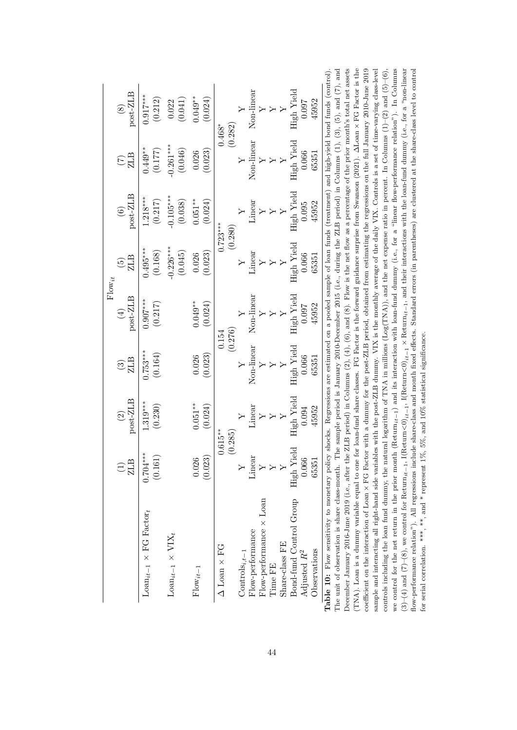|                                                                                                                                                                                                                                                                                                                                                                                               |                               |                                                                                                                                  |                               | $Flow_{it}$                        |                                   |                                    |                       |                         |
|-----------------------------------------------------------------------------------------------------------------------------------------------------------------------------------------------------------------------------------------------------------------------------------------------------------------------------------------------------------------------------------------------|-------------------------------|----------------------------------------------------------------------------------------------------------------------------------|-------------------------------|------------------------------------|-----------------------------------|------------------------------------|-----------------------|-------------------------|
|                                                                                                                                                                                                                                                                                                                                                                                               | $\widehat{\Xi}_{\texttt{LB}}$ | post-ZLB<br>$\widehat{\mathfrak{O}}$                                                                                             | ZLB<br>$\widehat{\mathbb{G}}$ | post-ZLB<br>$\widehat{\mathbb{E}}$ | ZLB<br>$\widetilde{\mathfrak{G}}$ | post-ZLB<br>$\widehat{\mathbf{e}}$ | ZLB                   | post-ZLB<br>$\circledS$ |
| $\text{Lean}_{it-1} \times \text{FG Factor}_{t}$                                                                                                                                                                                                                                                                                                                                              | $0.704***$<br>(0.161)         | $1.319***$<br>(0.230)                                                                                                            | $0.753***$<br>(0.164)         | $0.907***$<br>(0.217)              | $0.495***$<br>(0.168)             | $1.218***$<br>(0.217)              | $0.449**$<br>(0.177)  | $0.917***$<br>(0.212)   |
| $\text{Loun}_{it-1} \times \text{VIX}_t$                                                                                                                                                                                                                                                                                                                                                      |                               |                                                                                                                                  |                               |                                    | $-0.226***$<br>(0.045)            | $-0.105***$<br>(0.038)             | $0.261***$<br>(0.046) | (0.041)<br>0.022        |
| $Flow_{it-1}$                                                                                                                                                                                                                                                                                                                                                                                 | (0.023)<br>0.026              | $0.051***$<br>(0.024)                                                                                                            | (0.023)<br>0.026              | $0.049**$<br>(0.024)               | (0.023)<br>0.026                  | $0.051***$<br>(0.024)              | (0.023)<br>0.026      | $0.049**$<br>(0.024)    |
| $\Delta$ Loan $\times$ FG                                                                                                                                                                                                                                                                                                                                                                     |                               | $0.615***$<br>(0.285)                                                                                                            |                               | (0.276)<br>0.154                   |                                   | $0.723***$<br>(0.280)              |                       | (0.282)<br>$0.468*$     |
| $\text{Controls}_{i,t-1}$                                                                                                                                                                                                                                                                                                                                                                     |                               |                                                                                                                                  | Y                             |                                    |                                   |                                    |                       |                         |
| Flow-performance                                                                                                                                                                                                                                                                                                                                                                              | Linear                        | Linear                                                                                                                           | Non-linear                    | Non-linear                         | inear                             | $\rm Linear$                       | Non-linear            | Non-linear              |
| $Flow$ -performance $\times$ Loan                                                                                                                                                                                                                                                                                                                                                             | $\overline{\mathbf{y}}$       |                                                                                                                                  |                               |                                    |                                   |                                    |                       |                         |
| Time FE                                                                                                                                                                                                                                                                                                                                                                                       | $\mathsf{Y}$                  |                                                                                                                                  |                               |                                    |                                   |                                    |                       |                         |
| Share-class FE                                                                                                                                                                                                                                                                                                                                                                                | $\ddot{y}$                    |                                                                                                                                  |                               |                                    |                                   |                                    |                       |                         |
| Bond-fund Control Group<br>Adjusted $R^2$                                                                                                                                                                                                                                                                                                                                                     | High Yield<br>0.066           | High Yield<br>0.094                                                                                                              | High Yield<br>0.066           | High Yield<br>0.097                | High Yield<br>0.066               | High Yield<br>0.095                | High Yield<br>0.066   | High Yield<br>0.097     |
| Observations                                                                                                                                                                                                                                                                                                                                                                                  | 6535                          | 45952                                                                                                                            | 65351                         | 45952                              | 65351                             | 45952                              | 65351                 | 45952                   |
| Rable 10: Flow sensitivity to monetary policy shocks. Regressions are estimated on a pooled sample of loan funds (treatment) and high-yield bond funds (control)<br>ecember January 2016-June 2019 (i.e., after the ZLB period) in Columns (2), (4), (6), and (8). Flow is the net flow as a percentage of the prior month's total net asset<br>The unit of observation is share class-month. |                               | The sample period is January 2010-December 2015 (i.e., during the ZLB period) in Columns $(1)$ , $(3)$ , $(5)$ , and $(7)$ , and |                               |                                    |                                   |                                    |                       |                         |

| Table 10: Flow sensitivity to monetary policy shocks. Regressions are estimated on a pooled sample of loan funds (treatment) and high-yield bond funds (control).                                                              |
|--------------------------------------------------------------------------------------------------------------------------------------------------------------------------------------------------------------------------------|
| The unit of observation is share class-month. The sample period is January 2010-December 2015 (i.e., during the ZLB period) in Columns $(1)$ , $(3)$ , $(5)$ , and $(7)$ , and                                                 |
| December January 2016-June 2019 (i.e., after the ZLB period) in Columns $(2)$ , $(4)$ , $(6)$ , and $(8)$ . Flow is the net flow as a percentage of the prior month's total net assets                                         |
| (TNA). Loan is a dummy variable equal to one for loan-fund share classes. FG Factor is the forward guidance surprise from Swanson (2021). $\Delta$ Loan $\times$ FG Factor is the                                              |
| coefficient on the interaction of Loan $\times$ FG Factor with a dummy for the post-ZLB period, obtained from estimating the regressions on the full January 2010-June 2019                                                    |
| sample and interacting all right-hand side variables with the post-ZLB dummy. VIX is the monthly average of the daily VIX. Controls is a set of time-varying class-level                                                       |
| controls including the loan fund dummy, the natural logarithm of TNA in millions (Log(TNA)), and the net expense ratio in percent. In Columns (1)-(2) and (5)-(6),                                                             |
| we control for the net return in the prior month (Return <sub>it-1</sub> ) and its interaction with loan-fund dummy (i.e., for a "linear flow-performance relation"). In Columns                                               |
| (3)–(4) and (7)–(8), we control for Return <sub>it-1</sub> , I(Return<0) <sub>it-1</sub> , I(Return<0) <sub>it-1</sub> , X Return <sub>it-1</sub> , and their interactions with the loan-fund dummy (i.e., for a "non-linear") |
| flow-performance relation"). All regressions include share-class and month fixed effects. Standard errors (in parentheses) are clustered at the share-class level to control                                                   |
| for serial correlation. ***, **, and * represent $1\%$ , $5\%$ , and $10\%$ statistical significance.                                                                                                                          |
|                                                                                                                                                                                                                                |
|                                                                                                                                                                                                                                |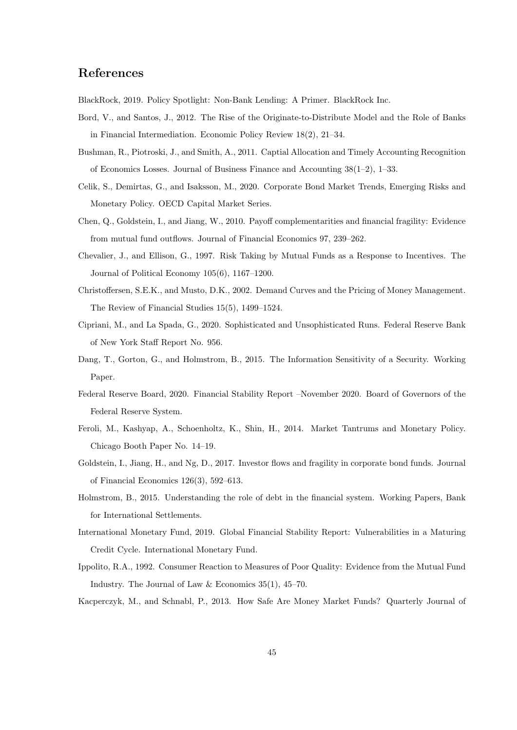## References

BlackRock, 2019. Policy Spotlight: Non-Bank Lending: A Primer. BlackRock Inc.

- Bord, V., and Santos, J., 2012. The Rise of the Originate-to-Distribute Model and the Role of Banks in Financial Intermediation. Economic Policy Review 18(2), 21–34.
- Bushman, R., Piotroski, J., and Smith, A., 2011. Captial Allocation and Timely Accounting Recognition of Economics Losses. Journal of Business Finance and Accounting 38(1–2), 1–33.
- Celik, S., Demirtas, G., and Isaksson, M., 2020. Corporate Bond Market Trends, Emerging Risks and Monetary Policy. OECD Capital Market Series.
- Chen, Q., Goldstein, I., and Jiang, W., 2010. Payoff complementarities and financial fragility: Evidence from mutual fund outflows. Journal of Financial Economics 97, 239–262.
- Chevalier, J., and Ellison, G., 1997. Risk Taking by Mutual Funds as a Response to Incentives. The Journal of Political Economy 105(6), 1167–1200.
- Christoffersen, S.E.K., and Musto, D.K., 2002. Demand Curves and the Pricing of Money Management. The Review of Financial Studies 15(5), 1499–1524.
- Cipriani, M., and La Spada, G., 2020. Sophisticated and Unsophisticated Runs. Federal Reserve Bank of New York Staff Report No. 956.
- Dang, T., Gorton, G., and Holmstrom, B., 2015. The Information Sensitivity of a Security. Working Paper.
- Federal Reserve Board, 2020. Financial Stability Report –November 2020. Board of Governors of the Federal Reserve System.
- Feroli, M., Kashyap, A., Schoenholtz, K., Shin, H., 2014. Market Tantrums and Monetary Policy. Chicago Booth Paper No. 14–19.
- Goldstein, I., Jiang, H., and Ng, D., 2017. Investor flows and fragility in corporate bond funds. Journal of Financial Economics 126(3), 592–613.
- Holmstrom, B., 2015. Understanding the role of debt in the financial system. Working Papers, Bank for International Settlements.
- International Monetary Fund, 2019. Global Financial Stability Report: Vulnerabilities in a Maturing Credit Cycle. International Monetary Fund.
- Ippolito, R.A., 1992. Consumer Reaction to Measures of Poor Quality: Evidence from the Mutual Fund Industry. The Journal of Law & Economics 35(1), 45–70.
- Kacperczyk, M., and Schnabl, P., 2013. How Safe Are Money Market Funds? Quarterly Journal of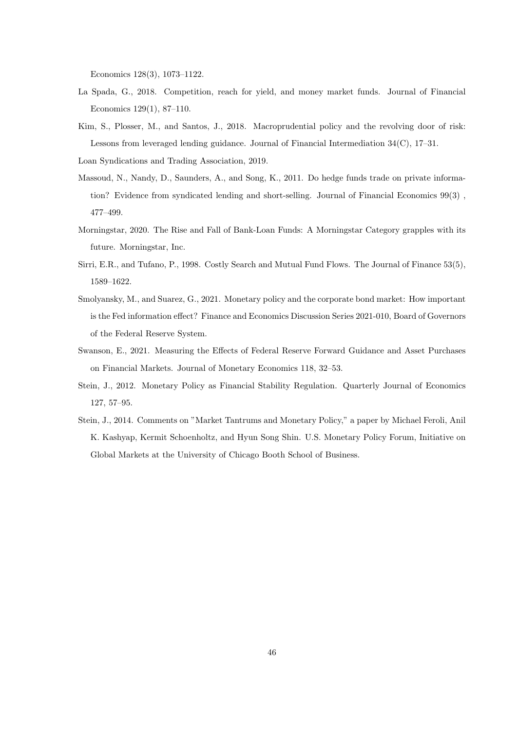Economics 128(3), 1073–1122.

- La Spada, G., 2018. Competition, reach for yield, and money market funds. Journal of Financial Economics 129(1), 87–110.
- Kim, S., Plosser, M., and Santos, J., 2018. Macroprudential policy and the revolving door of risk: Lessons from leveraged lending guidance. Journal of Financial Intermediation 34(C), 17–31.
- Loan Syndications and Trading Association, 2019.
- Massoud, N., Nandy, D., Saunders, A., and Song, K., 2011. Do hedge funds trade on private information? Evidence from syndicated lending and short-selling. Journal of Financial Economics 99(3) , 477–499.
- Morningstar, 2020. The Rise and Fall of Bank-Loan Funds: A Morningstar Category grapples with its future. Morningstar, Inc.
- Sirri, E.R., and Tufano, P., 1998. Costly Search and Mutual Fund Flows. The Journal of Finance 53(5), 1589–1622.
- Smolyansky, M., and Suarez, G., 2021. Monetary policy and the corporate bond market: How important is the Fed information effect? Finance and Economics Discussion Series 2021-010, Board of Governors of the Federal Reserve System.
- Swanson, E., 2021. Measuring the Effects of Federal Reserve Forward Guidance and Asset Purchases on Financial Markets. Journal of Monetary Economics 118, 32–53.
- Stein, J., 2012. Monetary Policy as Financial Stability Regulation. Quarterly Journal of Economics 127, 57–95.
- Stein, J., 2014. Comments on "Market Tantrums and Monetary Policy," a paper by Michael Feroli, Anil K. Kashyap, Kermit Schoenholtz, and Hyun Song Shin. U.S. Monetary Policy Forum, Initiative on Global Markets at the University of Chicago Booth School of Business.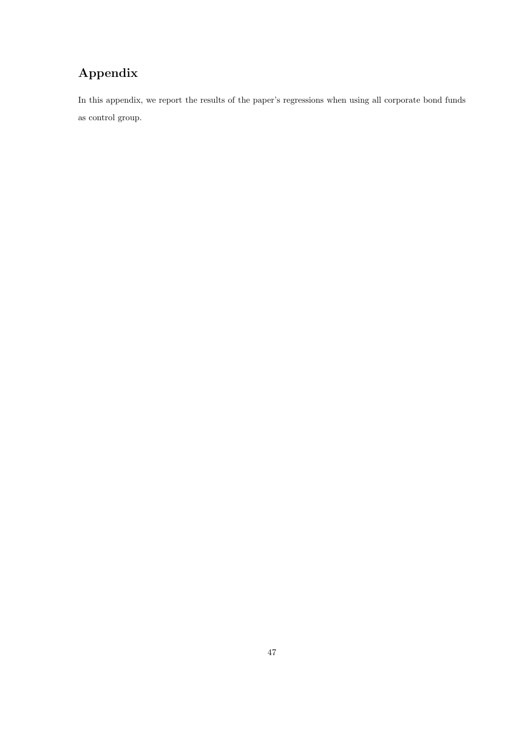# Appendix

In this appendix, we report the results of the paper's regressions when using all corporate bond funds as control group.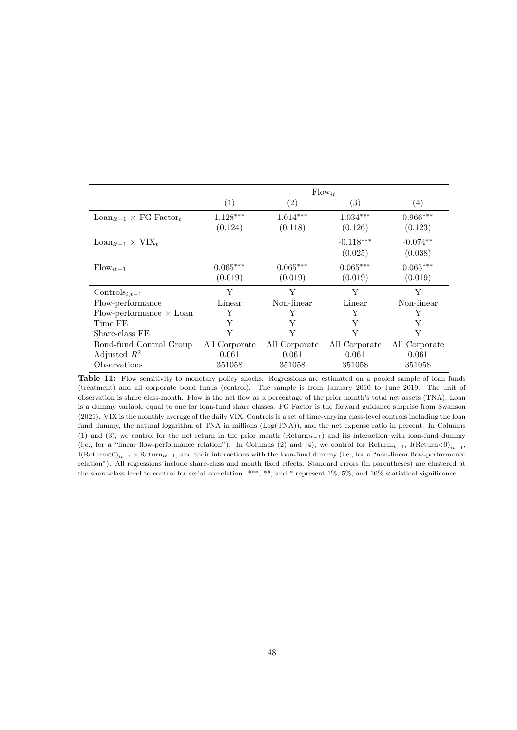|                                                |                       |                       | $Flow_{it}$            |                       |
|------------------------------------------------|-----------------------|-----------------------|------------------------|-----------------------|
|                                                | (1)                   | $\left( 2\right)$     | (3)                    | $\left( 4\right)$     |
| $\text{Loan}_{it-1} \times \text{FG Factor}_t$ | $1.128***$<br>(0.124) | $1.014***$<br>(0.118) | $1.034***$<br>(0.126)  | $0.966***$<br>(0.123) |
| $\text{Loan}_{it-1} \times \text{VIX}_t$       |                       |                       | $-0.118***$<br>(0.025) | $-0.074**$<br>(0.038) |
| $\text{Flow}_{it-1}$                           | $0.065***$<br>(0.019) | $0.065***$<br>(0.019) | $0.065***$<br>(0.019)  | $0.065***$<br>(0.019) |
| Controls <sub>i.t-1</sub>                      | Y                     | Y                     | Y                      | Y                     |
| Flow-performance                               | Linear                | Non-linear            | Linear                 | Non-linear            |
| Flow-performance $\times$ Loan                 | Y                     | Y                     | Y                      | Y                     |
| Time FE                                        | Y                     | Y                     | Y                      | Y                     |
| Share-class FE                                 | Y                     | Y                     | Y                      | Y                     |
| Bond-fund Control Group                        | All Corporate         | All Corporate         | All Corporate          | All Corporate         |
| Adjusted $R^2$                                 | 0.061                 | 0.061                 | 0.061                  | 0.061                 |
| Observations                                   | 351058                | 351058                | 351058                 | 351058                |

Table 11: Flow sensitivity to monetary policy shocks. Regressions are estimated on a pooled sample of loan funds (treatment) and all corporate bond funds (control). The sample is from January 2010 to June 2019. The unit of observation is share class-month. Flow is the net flow as a percentage of the prior month's total net assets (TNA). Loan is a dummy variable equal to one for loan-fund share classes. FG Factor is the forward guidance surprise from Swanson (2021). VIX is the monthly average of the daily VIX. Controls is a set of time-varying class-level controls including the loan fund dummy, the natural logarithm of TNA in millions (Log(TNA)), and the net expense ratio in percent. In Columns (1) and (3), we control for the net return in the prior month (Return $i_{t-1}$ ) and its interaction with loan-fund dummy (i.e., for a "linear flow-performance relation"). In Columns (2) and (4), we control for  $Return_{it-1}$ , I(Return $\langle 0 \rangle_{it-1}$ , I(Return<0)<sub>it−1</sub> × Return<sub>it−1</sub>, and their interactions with the loan-fund dummy (i.e., for a "non-linear flow-performance") relation"). All regressions include share-class and month fixed effects. Standard errors (in parentheses) are clustered at the share-class level to control for serial correlation. \*\*\*, \*\*, and \* represent 1%, 5%, and 10% statistical significance.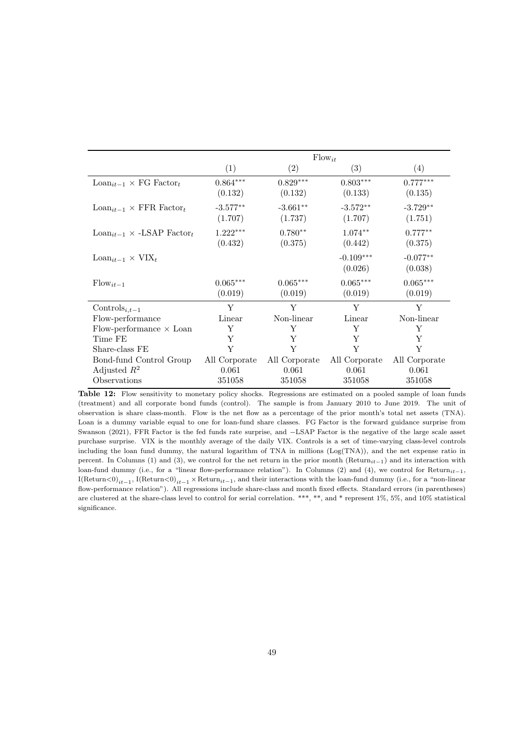|                                                           |                                  | $Flow_{it}$                      |                                  |                                  |
|-----------------------------------------------------------|----------------------------------|----------------------------------|----------------------------------|----------------------------------|
|                                                           | (1)                              | (2)                              | (3)                              | (4)                              |
| $\text{Loan}_{it-1} \times \text{FG Factor}_t$            | $0.864***$<br>(0.132)            | $0.829***$<br>(0.132)            | $0.803***$<br>(0.133)            | $0.777***$<br>(0.135)            |
| $\text{Loan}_{it-1} \times \text{FFR Factor}_{t}$         | $-3.577**$<br>(1.707)            | $-3.661**$<br>(1.737)            | $-3.572**$<br>(1.707)            | $-3.729**$<br>(1.751)            |
| $\text{Loan}_{it-1} \times \text{-LSAP Factor}_{t}$       | $1.222***$<br>(0.432)            | $0.780**$<br>(0.375)             | $1.074**$<br>(0.442)             | $0.777**$<br>(0.375)             |
| $\text{Loan}_{it-1} \times \text{VIX}_t$                  |                                  |                                  | $-0.109***$<br>(0.026)           | $-0.077**$<br>(0.038)            |
| $Flow_{it-1}$                                             | $0.065***$<br>(0.019)            | $0.065***$<br>(0.019)            | $0.065***$<br>(0.019)            | $0.065***$<br>(0.019)            |
| Controls <sub>i,t-1</sub>                                 | Y                                | Y                                | Y                                | Y                                |
| Flow-performance                                          | Linear                           | Non-linear                       | Linear                           | Non-linear                       |
| Flow-performance $\times$ Loan                            | Y                                | Y                                | Y                                | Y                                |
| Time FE                                                   | Y                                | Y                                | Y                                | Y                                |
| Share-class FE                                            | Y                                | Y                                | Y                                | Y                                |
| Bond-fund Control Group<br>Adjusted $R^2$<br>Observations | All Corporate<br>0.061<br>351058 | All Corporate<br>0.061<br>351058 | All Corporate<br>0.061<br>351058 | All Corporate<br>0.061<br>351058 |

Table 12: Flow sensitivity to monetary policy shocks. Regressions are estimated on a pooled sample of loan funds (treatment) and all corporate bond funds (control). The sample is from January 2010 to June 2019. The unit of observation is share class-month. Flow is the net flow as a percentage of the prior month's total net assets (TNA). Loan is a dummy variable equal to one for loan-fund share classes. FG Factor is the forward guidance surprise from Swanson (2021), FFR Factor is the fed funds rate surprise, and −LSAP Factor is the negative of the large scale asset purchase surprise. VIX is the monthly average of the daily VIX. Controls is a set of time-varying class-level controls including the loan fund dummy, the natural logarithm of TNA in millions (Log(TNA)), and the net expense ratio in percent. In Columns (1) and (3), we control for the net return in the prior month (Return<sub>it−1</sub>) and its interaction with loan-fund dummy (i.e., for a "linear flow-performance relation"). In Columns (2) and (4), we control for Return $_{it-1}$ , I(Return<0)<sub>it−1</sub>, I(Return<0)<sub>it−1</sub> × Return<sub>it−1</sub>, and their interactions with the loan-fund dummy (i.e., for a "non-linear flow-performance relation"). All regressions include share-class and month fixed effects. Standard errors (in parentheses) are clustered at the share-class level to control for serial correlation. \*\*\*, \*\*, and \* represent 1%, 5%, and 10% statistical significance.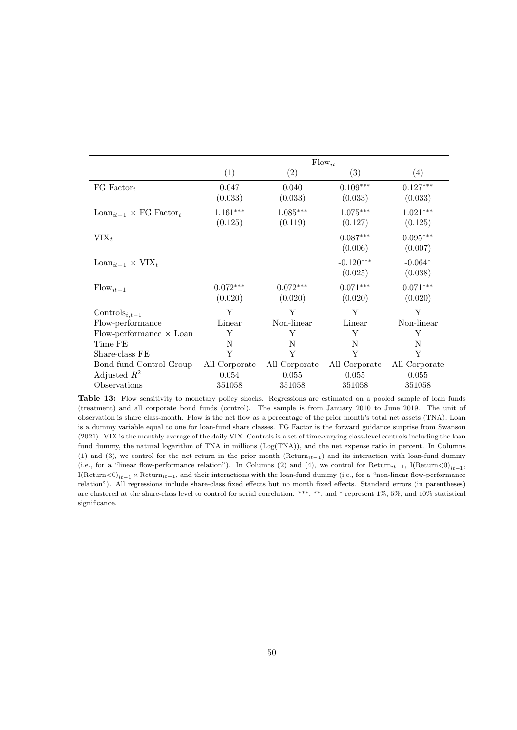|                                                  |                       | $Flow_{it}$           |                        |                       |
|--------------------------------------------------|-----------------------|-----------------------|------------------------|-----------------------|
|                                                  | (1)                   | (2)                   | (3)                    | (4)                   |
| FG Factor <sub>t</sub>                           | 0.047<br>(0.033)      | 0.040<br>(0.033)      | $0.109***$<br>(0.033)  | $0.127***$<br>(0.033) |
| $\text{Loan}_{it-1} \times \text{FG Factor}_{t}$ | $1.161***$<br>(0.125) | $1.085***$<br>(0.119) | $1.075***$<br>(0.127)  | $1.021***$<br>(0.125) |
| $VIX_t$                                          |                       |                       | $0.087***$<br>(0.006)  | $0.095***$<br>(0.007) |
| $\text{Loan}_{it-1} \times \text{VIX}_t$         |                       |                       | $-0.120***$<br>(0.025) | $-0.064*$<br>(0.038)  |
| $Flow_{it-1}$                                    | $0.072***$<br>(0.020) | $0.072***$<br>(0.020) | $0.071***$<br>(0.020)  | $0.071***$<br>(0.020) |
| Controls <sub>i,t-1</sub>                        | Y                     | Y                     | Y                      | Y                     |
| Flow-performance                                 | Linear                | Non-linear            | Linear                 | Non-linear            |
| Flow-performance $\times$ Loan                   | Y                     | Y                     | Y                      | Y                     |
| Time FE                                          | N                     | N                     | N                      | N                     |
| Share-class FE                                   | Y                     | Y                     | Y                      | Y                     |
| Bond-fund Control Group                          | All Corporate         | All Corporate         | All Corporate          | All Corporate         |
| Adjusted $R^2$                                   | 0.054                 | 0.055                 | 0.055                  | 0.055                 |
| Observations                                     | 351058                | 351058                | 351058                 | 351058                |

Table 13: Flow sensitivity to monetary policy shocks. Regressions are estimated on a pooled sample of loan funds (treatment) and all corporate bond funds (control). The sample is from January 2010 to June 2019. The unit of observation is share class-month. Flow is the net flow as a percentage of the prior month's total net assets (TNA). Loan is a dummy variable equal to one for loan-fund share classes. FG Factor is the forward guidance surprise from Swanson (2021). VIX is the monthly average of the daily VIX. Controls is a set of time-varying class-level controls including the loan fund dummy, the natural logarithm of TNA in millions (Log(TNA)), and the net expense ratio in percent. In Columns (1) and (3), we control for the net return in the prior month (Return<sub>it</sub> $-1$ ) and its interaction with loan-fund dummy (i.e., for a "linear flow-performance relation"). In Columns (2) and (4), we control for  $Return_{it-1}$ , I(Return<0)<sub>it−1</sub>, I(Return<0)<sub>it−1</sub> × Return<sub>it−1</sub>, and their interactions with the loan-fund dummy (i.e., for a "non-linear flow-performance relation"). All regressions include share-class fixed effects but no month fixed effects. Standard errors (in parentheses) are clustered at the share-class level to control for serial correlation. \*\*\*, \*\*, and \* represent 1%, 5%, and 10% statistical significance.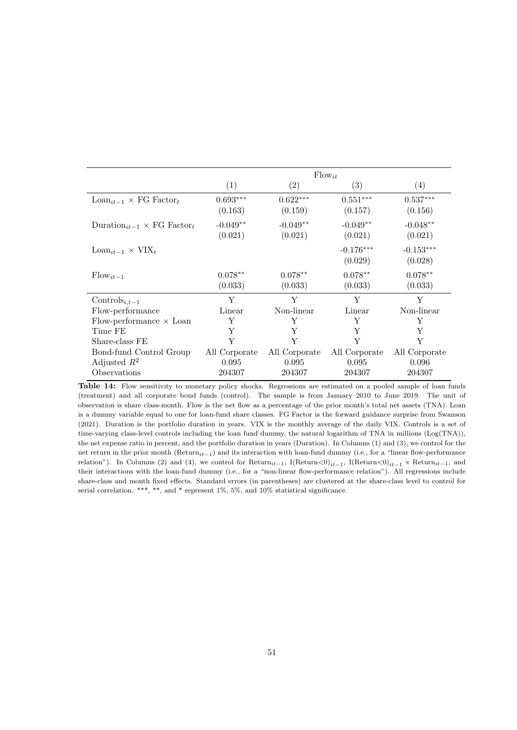|                                                          |                       |                       | $Flow_{it}$            |                        |
|----------------------------------------------------------|-----------------------|-----------------------|------------------------|------------------------|
|                                                          | (1)                   | (2)                   | (3)                    | (4)                    |
| $\text{Loan}_{it-1} \times \text{FG Factor}_{t}$         | $0.693***$<br>(0.163) | $0.622***$<br>(0.159) | $0.551***$<br>(0.157)  | $0.537***$<br>(0.156)  |
| Duration <sub>it-1</sub> $\times$ FG Factor <sub>t</sub> | $-0.049**$<br>(0.021) | $-0.049**$<br>(0.021) | $-0.049**$<br>(0.021)  | $-0.048**$<br>(0.021)  |
| $\text{Loan}_{it-1} \times \text{VIX}_t$                 |                       |                       | $-0.176***$<br>(0.029) | $-0.153***$<br>(0.028) |
| $Flow_{it-1}$                                            | $0.078**$<br>(0.033)  | $0.078**$<br>(0.033)  | $0.078**$<br>(0.033)   | $0.078**$<br>(0.033)   |
| Controls $_{i,t-1}$                                      | Y                     | Y                     | Y                      | Y                      |
| Flow-performance                                         | Linear                | Non-linear            | Linear                 | Non-linear             |
| Flow-performance $\times$ Loan                           | Y                     | Y                     | Y                      | Y                      |
| Time FE                                                  | Y                     | Y                     | Y                      | Y                      |
| Share-class FE                                           | Y                     | Y                     | Y                      | Y                      |
| Bond-fund Control Group                                  | All Corporate         | All Corporate         | All Corporate          | All Corporate          |
| Adjusted $R^2$                                           | 0.095                 | 0.095                 | 0.095                  | 0.096                  |
| Observations                                             | 204307                | 204307                | 204307                 | 204307                 |

Table 14: Flow sensitivity to monetary policy shocks. Regressions are estimated on a pooled sample of loan funds (treatment) and all corporate bond funds (control). The sample is from January 2010 to June 2019. The unit of observation is share class-month. Flow is the net flow as a percentage of the prior month's total net assets (TNA). Loan is a dummy variable equal to one for loan-fund share classes. FG Factor is the forward guidance surprise from Swanson (2021). Duration is the portfolio duration in years. VIX is the monthly average of the daily VIX. Controls is a set of time-varying class-level controls including the loan fund dummy, the natural logarithm of TNA in millions (Log(TNA)), the net expense ratio in percent, and the portfolio duration in years (Duration). In Columns (1) and (3), we control for the net return in the prior month ( $Return_{it-1}$ ) and its interaction with loan-fund dummy (i.e., for a "linear flow-performance relation"). In Columns (2) and (4), we control for  $Return_{it-1}$ , I(Return $< 0$ <sub>it−1</sub>, I(Return $< 0$ <sub>it−1</sub> × Return<sub>it−1</sub>, and their interactions with the loan-fund dummy (i.e., for a "non-linear flow-performance relation"). All regressions include share-class and month fixed effects. Standard errors (in parentheses) are clustered at the share-class level to control for serial correlation. \*\*\*, \*\*, and \* represent 1\%, 5\%, and 10\% statistical significance.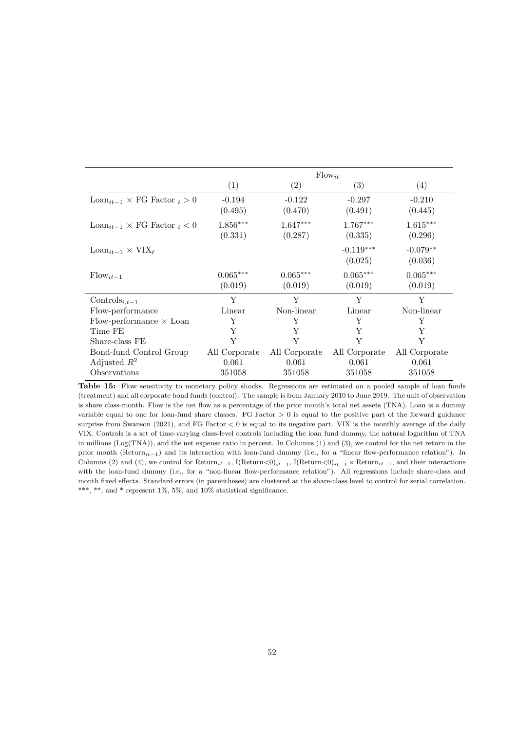|                                                      |                       |                       | $Flow_{it}$            |                       |
|------------------------------------------------------|-----------------------|-----------------------|------------------------|-----------------------|
|                                                      | (1)                   | (2)                   | (3)                    | (4)                   |
| $\text{Loan}_{it-1} \times \text{FG Factor}_{t} > 0$ | $-0.194$<br>(0.495)   | $-0.122$<br>(0.470)   | $-0.297$<br>(0.491)    | $-0.210$<br>(0.445)   |
| $\text{Loan}_{it-1} \times \text{FG Factor}_{t} < 0$ | $1.856***$<br>(0.331) | $1.647***$<br>(0.287) | $1.767***$<br>(0.335)  | $1.615***$<br>(0.296) |
| $\text{Loan}_{it-1} \times \text{VIX}_t$             |                       |                       | $-0.119***$<br>(0.025) | $-0.079**$<br>(0.036) |
| $Flow_{it-1}$                                        | $0.065***$<br>(0.019) | $0.065***$<br>(0.019) | $0.065***$<br>(0.019)  | $0.065***$<br>(0.019) |
| Controls <sub>i,t-1</sub>                            | Y                     | Y                     | Y                      | Y                     |
| Flow-performance                                     | Linear                | Non-linear            | Linear                 | Non-linear            |
| Flow-performance $\times$ Loan                       | Y                     | Y                     | Y                      | Y                     |
| Time FE                                              | Y                     | Y                     | Y                      | Y                     |
| Share-class FE                                       | Y                     | Y                     | Y                      | Y                     |
| Bond-fund Control Group                              | All Corporate         | All Corporate         | All Corporate          | All Corporate         |
| Adjusted $R^2$                                       | 0.061                 | 0.061                 | 0.061                  | 0.061                 |
| Observations                                         | 351058                | 351058                | 351058                 | 351058                |

Table 15: Flow sensitivity to monetary policy shocks. Regressions are estimated on a pooled sample of loan funds (treatment) and all corporate bond funds (control). The sample is from January 2010 to June 2019. The unit of observation is share class-month. Flow is the net flow as a percentage of the prior month's total net assets (TNA). Loan is a dummy variable equal to one for loan-fund share classes. FG Factor  $> 0$  is equal to the positive part of the forward guidance surprise from Swanson (2021), and FG Factor < 0 is equal to its negative part. VIX is the monthly average of the daily VIX. Controls is a set of time-varying class-level controls including the loan fund dummy, the natural logarithm of TNA in millions (Log(TNA)), and the net expense ratio in percent. In Columns (1) and (3), we control for the net return in the prior month (Return<sub>it</sub><sub>-1</sub>) and its interaction with loan-fund dummy (i.e., for a "linear flow-performance relation"). In Columns (2) and (4), we control for Return<sub>it−1</sub>, I(Return<0)<sub>it−1</sub>, I(Return<0)<sub>it−1</sub> × Return<sub>it−1</sub>, and their interactions with the loan-fund dummy (i.e., for a "non-linear flow-performance relation"). All regressions include share-class and month fixed effects. Standard errors (in parentheses) are clustered at the share-class level to control for serial correlation. \*\*\*, \*\*, and \* represent 1%, 5%, and 10% statistical significance.